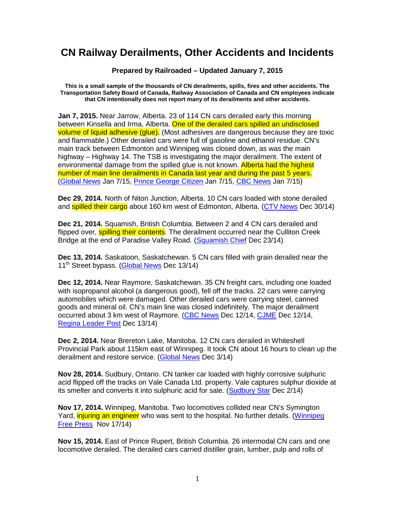## **CN Railway Derailments, Other Accidents and Incidents**

**Prepared by Railroaded – Updated January 7, 2015** 

**This is a small sample of the thousands of CN derailments, spills, fires and other accidents. The Transportation Safety Board of Canada, Railway Association of Canada and CN employees indicate that CN intentionally does not report many of its derailments and other accidents.** 

**Jan 7, 2015.** Near Jarrow, Alberta. 23 of 114 CN cars derailed early this morning between Kinsella and Irma, Alberta. One of the derailed cars spilled an undisclosed volume of liquid adhesive (glue). (Most adhesives are dangerous because they are toxic and flammable.) Other derailed cars were full of gasoline and ethanol residue. CN's main track between Edmonton and Winnipeg was closed down, as was the main highway – Highway 14. The TSB is investigating the major derailment. The extent of environmental damage from the spilled glue is not known. Alberta had the highest number of main line derailments in Canada last year and during the past 5 years. (Global News Jan 7/15, Prince George Citizen Jan 7/15, CBC News Jan 7/15)

**Dec 29, 2014.** North of Niton Junction, Alberta. 10 CN cars loaded with stone derailed and **spilled their cargo** about 160 km west of Edmonton, Alberta. (CTV News Dec 30/14)

**Dec 21, 2014.** Squamish, British Columbia. Between 2 and 4 CN cars derailed and flipped over, **spilling their contents**. The derailment occurred near the Culliton Creek Bridge at the end of Paradise Valley Road. (Squamish Chief Dec 23/14)

**Dec 13, 2014.** Saskatoon, Saskatchewan. 5 CN cars filled with grain derailed near the 11<sup>th</sup> Street bypass. (Global News Dec 13/14)

**Dec 12, 2014.** Near Raymore, Saskatchewan. 35 CN freight cars, including one loaded with isopropanol alcohol (a dangerous good), fell off the tracks. 22 cars were carrying automobiles which were damaged. Other derailed cars were carrying steel, canned goods and mineral oil. CN's main line was closed indefinitely. The major derailment occurred about 3 km west of Raymore. (CBC News Dec 12/14, CJME Dec 12/14, Regina Leader Post Dec 13/14)

**Dec 2, 2014.** Near Brereton Lake, Manitoba. 12 CN cars derailed in Whiteshell Provincial Park about 115km east of Winnipeg. It took CN about 16 hours to clean up the derailment and restore service. (Global News Dec 3/14)

**Nov 28, 2014.** Sudbury, Ontario. CN tanker car loaded with highly corrosive sulphuric acid flipped off the tracks on Vale Canada Ltd. property. Vale captures sulphur dioxide at its smelter and converts it into sulphuric acid for sale. (Sudbury Star Dec 2/14)

**Nov 17, 2014.** Winnipeg, Manitoba. Two locomotives collided near CN's Symington Yard, *injuring an engineer* who was sent to the hospital. No further details. (Winnipeg Free Press Nov 17/14)

**Nov 15, 2014.** East of Prince Rupert, British Columbia. 26 intermodal CN cars and one locomotive derailed. The derailed cars carried distiller grain, lumber, pulp and rolls of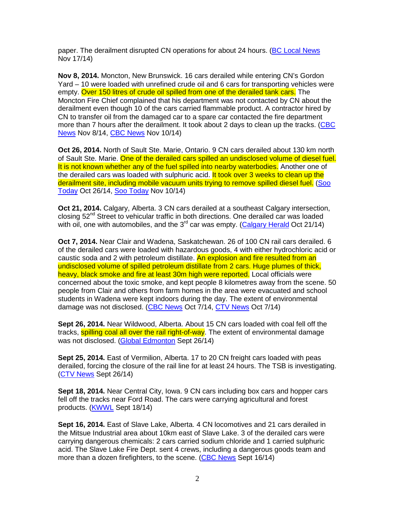paper. The derailment disrupted CN operations for about 24 hours. (BC Local News Nov 17/14)

**Nov 8, 2014.** Moncton, New Brunswick. 16 cars derailed while entering CN's Gordon Yard – 10 were loaded with unrefined crude oil and 6 cars for transporting vehicles were empty. Over 150 litres of crude oil spilled from one of the derailed tank cars. The Moncton Fire Chief complained that his department was not contacted by CN about the derailment even though 10 of the cars carried flammable product. A contractor hired by CN to transfer oil from the damaged car to a spare car contacted the fire department more than 7 hours after the derailment. It took about 2 days to clean up the tracks. (CBC News Nov 8/14, CBC News Nov 10/14)

**Oct 26, 2014.** North of Sault Ste. Marie, Ontario. 9 CN cars derailed about 130 km north of Sault Ste. Marie. One of the derailed cars spilled an undisclosed volume of diesel fuel. It is not known whether any of the fuel spilled into nearby waterbodies. Another one of the derailed cars was loaded with sulphuric acid. It took over 3 weeks to clean up the derailment site, including mobile vacuum units trying to remove spilled diesel fuel. (Soo Today Oct 26/14, Soo Today Nov 10/14)

**Oct 21, 2014.** Calgary, Alberta. 3 CN cars derailed at a southeast Calgary intersection, closing  $52<sup>nd</sup>$  Street to vehicular traffic in both directions. One derailed car was loaded with oil, one with automobiles, and the  $3<sup>rd</sup>$  car was empty. (Calgary Herald Oct 21/14)

**Oct 7, 2014.** Near Clair and Wadena, Saskatchewan. 26 of 100 CN rail cars derailed. 6 of the derailed cars were loaded with hazardous goods, 4 with either hydrochloric acid or caustic soda and 2 with petroleum distillate. An explosion and fire resulted from an undisclosed volume of spilled petroleum distillate from 2 cars. Huge plumes of thick, heavy, black smoke and fire at least 30m high were reported. Local officials were concerned about the toxic smoke, and kept people 8 kilometres away from the scene. 50 people from Clair and others from farm homes in the area were evacuated and school students in Wadena were kept indoors during the day. The extent of environmental damage was not disclosed. (CBC News Oct 7/14, CTV News Oct 7/14)

**Sept 26, 2014.** Near Wildwood, Alberta. About 15 CN cars loaded with coal fell off the tracks, **spilling coal all over the rail right-of-way**. The extent of environmental damage was not disclosed. (Global Edmonton Sept 26/14)

**Sept 25, 2014.** East of Vermilion, Alberta. 17 to 20 CN freight cars loaded with peas derailed, forcing the closure of the rail line for at least 24 hours. The TSB is investigating. (CTV News Sept 26/14)

**Sept 18, 2014.** Near Central City, Iowa. 9 CN cars including box cars and hopper cars fell off the tracks near Ford Road. The cars were carrying agricultural and forest products. (KWWL Sept 18/14)

**Sept 16, 2014.** East of Slave Lake, Alberta. 4 CN locomotives and 21 cars derailed in the Mitsue Industrial area about 10km east of Slave Lake. 3 of the derailed cars were carrying dangerous chemicals: 2 cars carried sodium chloride and 1 carried sulphuric acid. The Slave Lake Fire Dept. sent 4 crews, including a dangerous goods team and more than a dozen firefighters, to the scene. (CBC News Sept 16/14)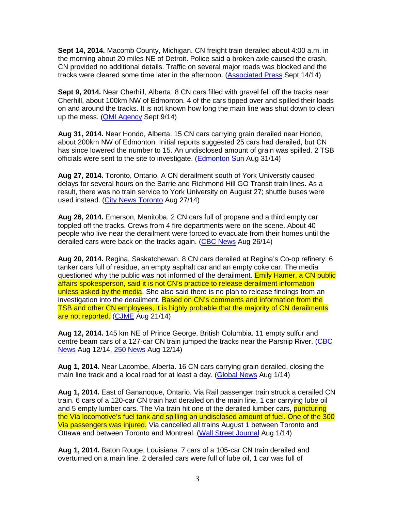**Sept 14, 2014.** Macomb County, Michigan. CN freight train derailed about 4:00 a.m. in the morning about 20 miles NE of Detroit. Police said a broken axle caused the crash. CN provided no additional details. Traffic on several major roads was blocked and the tracks were cleared some time later in the afternoon. (Associated Press Sept 14/14)

**Sept 9, 2014.** Near Cherhill, Alberta. 8 CN cars filled with gravel fell off the tracks near Cherhill, about 100km NW of Edmonton. 4 of the cars tipped over and spilled their loads on and around the tracks. It is not known how long the main line was shut down to clean up the mess. (QMI Agency Sept 9/14)

**Aug 31, 2014.** Near Hondo, Alberta. 15 CN cars carrying grain derailed near Hondo, about 200km NW of Edmonton. Initial reports suggested 25 cars had derailed, but CN has since lowered the number to 15. An undisclosed amount of grain was spilled. 2 TSB officials were sent to the site to investigate. (Edmonton Sun Aug 31/14)

**Aug 27, 2014.** Toronto, Ontario. A CN derailment south of York University caused delays for several hours on the Barrie and Richmond Hill GO Transit train lines. As a result, there was no train service to York University on August 27; shuttle buses were used instead. (City News Toronto Aug 27/14)

**Aug 26, 2014.** Emerson, Manitoba. 2 CN cars full of propane and a third empty car toppled off the tracks. Crews from 4 fire departments were on the scene. About 40 people who live near the derailment were forced to evacuate from their homes until the derailed cars were back on the tracks again. (CBC News Aug 26/14)

**Aug 20, 2014.** Regina, Saskatchewan. 8 CN cars derailed at Regina's Co-op refinery: 6 tanker cars full of residue, an empty asphalt car and an empty coke car. The media questioned why the public was not informed of the derailment. Emily Hamer, a CN public affairs spokesperson, said it is not CN's practice to release derailment information unless asked by the media. She also said there is no plan to release findings from an investigation into the derailment. Based on CN's comments and information from the TSB and other CN employees, it is highly probable that the majority of CN derailments are not reported. (CJME Aug 21/14)

**Aug 12, 2014.** 145 km NE of Prince George, British Columbia. 11 empty sulfur and centre beam cars of a 127-car CN train jumped the tracks near the Parsnip River. (CBC News Aug 12/14, 250 News Aug 12/14)

**Aug 1, 2014.** Near Lacombe, Alberta. 16 CN cars carrying grain derailed, closing the main line track and a local road for at least a day. (Global News Aug 1/14)

**Aug 1, 2014.** East of Gananoque, Ontario. Via Rail passenger train struck a derailed CN train. 6 cars of a 120-car CN train had derailed on the main line, 1 car carrying lube oil and 5 empty lumber cars. The Via train hit one of the derailed lumber cars, **puncturing** the Via locomotive's fuel tank and spilling an undisclosed amount of fuel. One of the 300 Via passengers was injured. Via cancelled all trains August 1 between Toronto and Ottawa and between Toronto and Montreal. (Wall Street Journal Aug 1/14)

**Aug 1, 2014.** Baton Rouge, Louisiana. 7 cars of a 105-car CN train derailed and overturned on a main line. 2 derailed cars were full of lube oil, 1 car was full of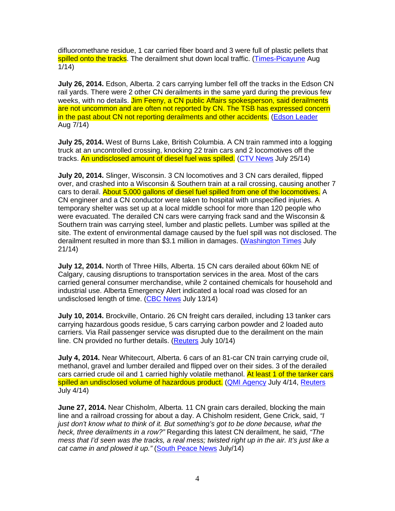difluoromethane residue, 1 car carried fiber board and 3 were full of plastic pellets that spilled onto the tracks. The derailment shut down local traffic. (Times-Picayune Aug 1/14)

**July 26, 2014.** Edson, Alberta. 2 cars carrying lumber fell off the tracks in the Edson CN rail yards. There were 2 other CN derailments in the same yard during the previous few weeks, with no details. Jim Feeny, a CN public Affairs spokesperson, said derailments are not uncommon and are often not reported by CN. The TSB has expressed concern in the past about CN not reporting derailments and other accidents. (Edson Leader Aug 7/14)

**July 25, 2014.** West of Burns Lake, British Columbia. A CN train rammed into a logging truck at an uncontrolled crossing, knocking 22 train cars and 2 locomotives off the tracks. An undisclosed amount of diesel fuel was spilled. (CTV News July 25/14)

**July 20, 2014.** Slinger, Wisconsin. 3 CN locomotives and 3 CN cars derailed, flipped over, and crashed into a Wisconsin & Southern train at a rail crossing, causing another 7 cars to derail. About 5,000 gallons of diesel fuel spilled from one of the locomotives. A CN engineer and a CN conductor were taken to hospital with unspecified injuries. A temporary shelter was set up at a local middle school for more than 120 people who were evacuated. The derailed CN cars were carrying frack sand and the Wisconsin & Southern train was carrying steel, lumber and plastic pellets. Lumber was spilled at the site. The extent of environmental damage caused by the fuel spill was not disclosed. The derailment resulted in more than \$3.1 million in damages. (Washington Times July 21/14)

**July 12, 2014.** North of Three Hills, Alberta. 15 CN cars derailed about 60km NE of Calgary, causing disruptions to transportation services in the area. Most of the cars carried general consumer merchandise, while 2 contained chemicals for household and industrial use. Alberta Emergency Alert indicated a local road was closed for an undisclosed length of time. (CBC News July 13/14)

**July 10, 2014.** Brockville, Ontario. 26 CN freight cars derailed, including 13 tanker cars carrying hazardous goods residue, 5 cars carrying carbon powder and 2 loaded auto carriers. Via Rail passenger service was disrupted due to the derailment on the main line. CN provided no further details. (Reuters July 10/14)

**July 4, 2014.** Near Whitecourt, Alberta. 6 cars of an 81-car CN train carrying crude oil, methanol, gravel and lumber derailed and flipped over on their sides. 3 of the derailed cars carried crude oil and 1 carried highly volatile methanol. At least 1 of the tanker cars spilled an undisclosed volume of hazardous product. (QMI Agency July 4/14, Reuters July 4/14)

**June 27, 2014.** Near Chisholm, Alberta. 11 CN grain cars derailed, blocking the main line and a railroad crossing for about a day. A Chisholm resident, Gene Crick, said, "I just don't know what to think of it. But something's got to be done because, what the heck, three derailments in a row?" Regarding this latest CN derailment, he said, "The mess that I'd seen was the tracks, a real mess; twisted right up in the air. It's just like a cat came in and plowed it up." (South Peace News July/14)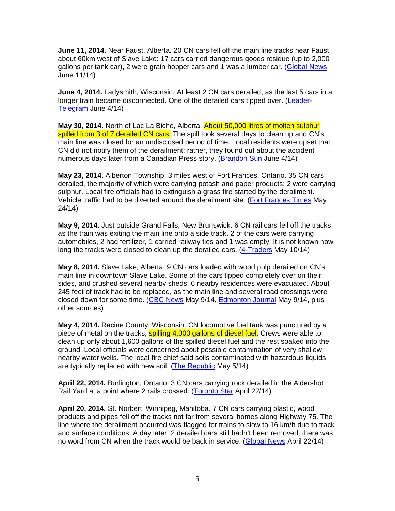**June 11, 2014.** Near Faust, Alberta. 20 CN cars fell off the main line tracks near Faust, about 60km west of Slave Lake: 17 cars carried dangerous goods residue (up to 2,000 gallons per tank car), 2 were grain hopper cars and 1 was a lumber car. (Global News June 11/14)

**June 4, 2014.** Ladysmith, Wisconsin. At least 2 CN cars derailed, as the last 5 cars in a longer train became disconnected. One of the derailed cars tipped over. (Leader-Telegram June 4/14)

**May 30, 2014.** North of Lac La Biche, Alberta. About 50,000 litres of molten sulphur spilled from 3 of 7 derailed CN cars. The spill took several days to clean up and CN's main line was closed for an undisclosed period of time. Local residents were upset that CN did not notify them of the derailment; rather, they found out about the accident numerous days later from a Canadian Press story. (Brandon Sun June 4/14)

**May 23, 2014.** Alberton Township, 3 miles west of Fort Frances, Ontario. 35 CN cars derailed, the majority of which were carrying potash and paper products; 2 were carrying sulphur. Local fire officials had to extinguish a grass fire started by the derailment. Vehicle traffic had to be diverted around the derailment site. (Fort Frances Times May 24/14)

**May 9, 2014.** Just outside Grand Falls, New Brunswick. 6 CN rail cars fell off the tracks as the train was exiting the main line onto a side track. 2 of the cars were carrying automobiles, 2 had fertilizer, 1 carried railway ties and 1 was empty. It is not known how long the tracks were closed to clean up the derailed cars. (4-Traders May 10/14)

**May 8, 2014.** Slave Lake, Alberta. 9 CN cars loaded with wood pulp derailed on CN's main line in downtown Slave Lake. Some of the cars tipped completely over on their sides, and crushed several nearby sheds. 6 nearby residences were evacuated. About 245 feet of track had to be replaced, as the main line and several road crossings were closed down for some time. (CBC News May 9/14, Edmonton Journal May 9/14, plus other sources)

**May 4, 2014.** Racine County, Wisconsin. CN locomotive fuel tank was punctured by a piece of metal on the tracks, spilling 4,000 gallons of diesel fuel. Crews were able to clean up only about 1,600 gallons of the spilled diesel fuel and the rest soaked into the ground. Local officials were concerned about possible contamination of very shallow nearby water wells. The local fire chief said soils contaminated with hazardous liquids are typically replaced with new soil. (The Republic May 5/14)

**April 22, 2014.** Burlington, Ontario. 3 CN cars carrying rock derailed in the Aldershot Rail Yard at a point where 2 rails crossed. (Toronto Star April 22/14)

**April 20, 2014.** St. Norbert, Winnipeg, Manitoba. 7 CN cars carrying plastic, wood products and pipes fell off the tracks not far from several homes along Highway 75. The line where the derailment occurred was flagged for trains to slow to 16 km/h due to track and surface conditions. A day later, 2 derailed cars still hadn't been removed; there was no word from CN when the track would be back in service. (Global News April 22/14)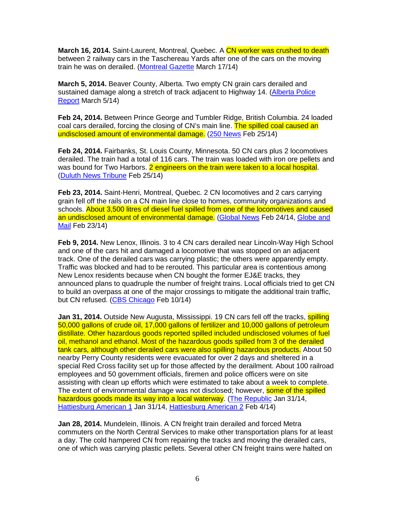**March 16, 2014.** Saint-Laurent, Montreal, Quebec. A CN worker was crushed to death between 2 railway cars in the Taschereau Yards after one of the cars on the moving train he was on derailed. (Montreal Gazette March 17/14)

**March 5, 2014.** Beaver County, Alberta. Two empty CN grain cars derailed and sustained damage along a stretch of track adjacent to Highway 14. (Alberta Police Report March 5/14)

**Feb 24, 2014.** Between Prince George and Tumbler Ridge, British Columbia. 24 loaded coal cars derailed, forcing the closing of CN's main line. The spilled coal caused an undisclosed amount of environmental damage. (250 News Feb 25/14)

**Feb 24, 2014.** Fairbanks, St. Louis County, Minnesota. 50 CN cars plus 2 locomotives derailed. The train had a total of 116 cars. The train was loaded with iron ore pellets and was bound for Two Harbors. 2 engineers on the train were taken to a local hospital. (Duluth News Tribune Feb 25/14)

**Feb 23, 2014.** Saint-Henri, Montreal, Quebec. 2 CN locomotives and 2 cars carrying grain fell off the rails on a CN main line close to homes, community organizations and schools. About 3,500 litres of diesel fuel spilled from one of the locomotives and caused an undisclosed amount of environmental damage. (Global News Feb 24/14, Globe and Mail Feb 23/14)

**Feb 9, 2014.** New Lenox, Illinois. 3 to 4 CN cars derailed near Lincoln-Way High School and one of the cars hit and damaged a locomotive that was stopped on an adjacent track. One of the derailed cars was carrying plastic; the others were apparently empty. Traffic was blocked and had to be rerouted. This particular area is contentious among New Lenox residents because when CN bought the former EJ&E tracks, they announced plans to quadruple the number of freight trains. Local officials tried to get CN to build an overpass at one of the major crossings to mitigate the additional train traffic, but CN refused. (CBS Chicago Feb 10/14)

**Jan 31, 2014.** Outside New Augusta, Mississippi, 19 CN cars fell off the tracks, **spilling** 50,000 gallons of crude oil, 17,000 gallons of fertilizer and 10,000 gallons of petroleum distillate. Other hazardous goods reported spilled included undisclosed volumes of fuel oil, methanol and ethanol. Most of the hazardous goods spilled from 3 of the derailed tank cars, although other derailed cars were also spilling hazardous products. About 50 nearby Perry County residents were evacuated for over 2 days and sheltered in a special Red Cross facility set up for those affected by the derailment. About 100 railroad employees and 50 government officials, firemen and police officers were on site assisting with clean up efforts which were estimated to take about a week to complete. The extent of environmental damage was not disclosed; however, some of the spilled hazardous goods made its way into a local waterway. (The Republic Jan 31/14, Hattiesburg American 1 Jan 31/14, Hattiesburg American 2 Feb 4/14)

**Jan 28, 2014.** Mundelein, Illinois. A CN freight train derailed and forced Metra commuters on the North Central Services to make other transportation plans for at least a day. The cold hampered CN from repairing the tracks and moving the derailed cars, one of which was carrying plastic pellets. Several other CN freight trains were halted on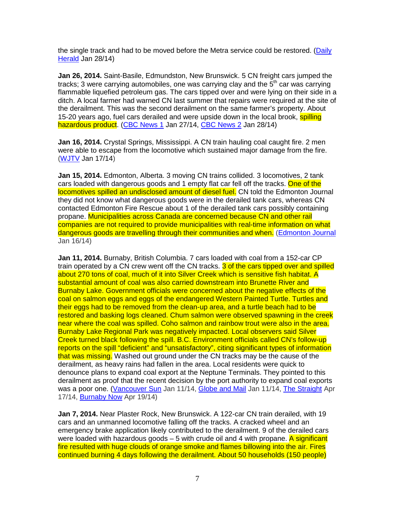the single track and had to be moved before the Metra service could be restored. (Daily Herald Jan 28/14)

**Jan 26, 2014.** Saint-Basile, Edmundston, New Brunswick. 5 CN freight cars jumped the tracks; 3 were carrying automobiles, one was carrying clay and the  $5<sup>th</sup>$  car was carrying flammable liquefied petroleum gas. The cars tipped over and were lying on their side in a ditch. A local farmer had warned CN last summer that repairs were required at the site of the derailment. This was the second derailment on the same farmer's property. About 15-20 years ago, fuel cars derailed and were upside down in the local brook, spilling hazardous product. (CBC News 1 Jan 27/14, CBC News 2 Jan 28/14)

**Jan 16, 2014.** Crystal Springs, Mississippi. A CN train hauling coal caught fire. 2 men were able to escape from the locomotive which sustained major damage from the fire. (WJTV Jan 17/14)

**Jan 15, 2014.** Edmonton, Alberta. 3 moving CN trains collided. 3 locomotives, 2 tank cars loaded with dangerous goods and 1 empty flat car fell off the tracks. One of the locomotives spilled an undisclosed amount of diesel fuel. CN told the Edmonton Journal they did not know what dangerous goods were in the derailed tank cars, whereas CN contacted Edmonton Fire Rescue about 1 of the derailed tank cars possibly containing propane. Municipalities across Canada are concerned because CN and other rail companies are not required to provide municipalities with real-time information on what dangerous goods are travelling through their communities and when. (Edmonton Journal Jan 16/14)

**Jan 11, 2014.** Burnaby, British Columbia. 7 cars loaded with coal from a 152-car CP train operated by a CN crew went off the CN tracks. 3 of the cars tipped over and spilled about 270 tons of coal, much of it into Silver Creek which is sensitive fish habitat. A substantial amount of coal was also carried downstream into Brunette River and Burnaby Lake. Government officials were concerned about the negative effects of the coal on salmon eggs and eggs of the endangered Western Painted Turtle. Turtles and their eggs had to be removed from the clean-up area, and a turtle beach had to be restored and basking logs cleaned. Chum salmon were observed spawning in the creek near where the coal was spilled. Coho salmon and rainbow trout were also in the area. Burnaby Lake Regional Park was negatively impacted. Local observers said Silver Creek turned black following the spill. B.C. Environment officials called CN's follow-up reports on the spill "deficient" and "unsatisfactory", citing significant types of information that was missing. Washed out ground under the CN tracks may be the cause of the derailment, as heavy rains had fallen in the area. Local residents were quick to denounce plans to expand coal export at the Neptune Terminals. They pointed to this derailment as proof that the recent decision by the port authority to expand coal exports was a poor one. (Vancouver Sun Jan 11/14, Globe and Mail Jan 11/14, The Straight Apr 17/14, Burnaby Now Apr 19/14)

**Jan 7, 2014.** Near Plaster Rock, New Brunswick. A 122-car CN train derailed, with 19 cars and an unmanned locomotive falling off the tracks. A cracked wheel and an emergency brake application likely contributed to the derailment. 9 of the derailed cars were loaded with hazardous goods  $-5$  with crude oil and 4 with propane. A significant fire resulted with huge clouds of orange smoke and flames billowing into the air. Fires continued burning 4 days following the derailment. About 50 households (150 people)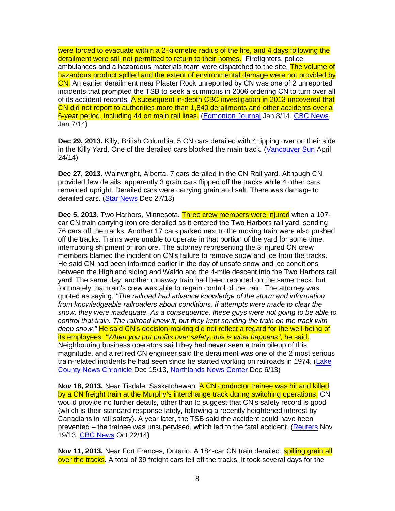were forced to evacuate within a 2-kilometre radius of the fire, and 4 days following the derailment were still not permitted to return to their homes. Firefighters, police, ambulances and a hazardous materials team were dispatched to the site. The volume of hazardous product spilled and the extent of environmental damage were not provided by CN. An earlier derailment near Plaster Rock unreported by CN was one of 2 unreported incidents that prompted the TSB to seek a summons in 2006 ordering CN to turn over all of its accident records. A subsequent in-depth CBC investigation in 2013 uncovered that CN did not report to authorities more than 1,840 derailments and other accidents over a 6-year period, including 44 on main rail lines. (Edmonton Journal Jan 8/14, CBC News Jan 7/14)

**Dec 29, 2013.** Killy, British Columbia. 5 CN cars derailed with 4 tipping over on their side in the Killy Yard. One of the derailed cars blocked the main track. (Vancouver Sun April 24/14)

**Dec 27, 2013.** Wainwright, Alberta. 7 cars derailed in the CN Rail yard. Although CN provided few details, apparently 3 grain cars flipped off the tracks while 4 other cars remained upright. Derailed cars were carrying grain and salt. There was damage to derailed cars. (Star News Dec 27/13)

**Dec 5, 2013.** Two Harbors, Minnesota. Three crew members were injured when a 107 car CN train carrying iron ore derailed as it entered the Two Harbors rail yard, sending 76 cars off the tracks. Another 17 cars parked next to the moving train were also pushed off the tracks. Trains were unable to operate in that portion of the yard for some time, interrupting shipment of iron ore. The attorney representing the 3 injured CN crew members blamed the incident on CN's failure to remove snow and ice from the tracks. He said CN had been informed earlier in the day of unsafe snow and ice conditions between the Highland siding and Waldo and the 4-mile descent into the Two Harbors rail yard. The same day, another runaway train had been reported on the same track, but fortunately that train's crew was able to regain control of the train. The attorney was quoted as saying, "The railroad had advance knowledge of the storm and information from knowledgeable railroaders about conditions. If attempts were made to clear the snow, they were inadequate. As a consequence, these guys were not going to be able to control that train. The railroad knew it, but they kept sending the train on the track with deep snow." He said CN's decision-making did not reflect a regard for the well-being of its employees. "When you put profits over safety, this is what happens", he said. Neighbouring business operators said they had never seen a train pileup of this magnitude, and a retired CN engineer said the derailment was one of the 2 most serious train-related incidents he had seen since he started working on railroads in 1974. (Lake County News Chronicle Dec 15/13, Northlands News Center Dec 6/13)

**Nov 18, 2013.** Near Tisdale, Saskatchewan. A CN conductor trainee was hit and killed by a CN freight train at the Murphy's interchange track during switching operations. CN would provide no further details, other than to suggest that CN's safety record is good (which is their standard response lately, following a recently heightened interest by Canadians in rail safety). A year later, the TSB said the accident could have been prevented – the trainee was unsupervised, which led to the fatal accident. (Reuters Nov 19/13, CBC News Oct 22/14)

Nov 11, 2013. Near Fort Frances, Ontario. A 184-car CN train derailed, spilling grain all over the tracks. A total of 39 freight cars fell off the tracks. It took several days for the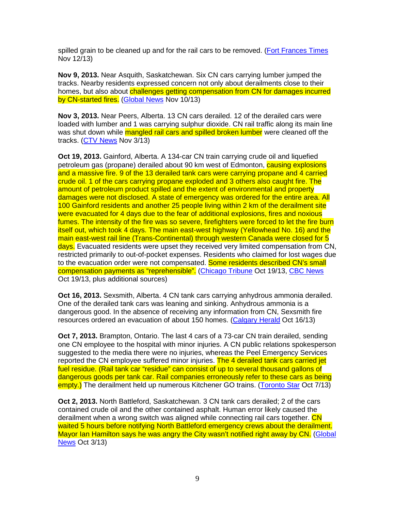spilled grain to be cleaned up and for the rail cars to be removed. (Fort Frances Times Nov 12/13)

**Nov 9, 2013.** Near Asquith, Saskatchewan. Six CN cars carrying lumber jumped the tracks. Nearby residents expressed concern not only about derailments close to their homes, but also about challenges getting compensation from CN for damages incurred by CN-started fires. (Global News Nov 10/13)

**Nov 3, 2013.** Near Peers, Alberta. 13 CN cars derailed. 12 of the derailed cars were loaded with lumber and 1 was carrying sulphur dioxide. CN rail traffic along its main line was shut down while mangled rail cars and spilled broken lumber were cleaned off the tracks. (CTV News Nov 3/13)

**Oct 19, 2013.** Gainford, Alberta. A 134-car CN train carrying crude oil and liquefied petroleum gas (propane) derailed about 90 km west of Edmonton, causing explosions and a massive fire. 9 of the 13 derailed tank cars were carrying propane and 4 carried crude oil. 1 of the cars carrying propane exploded and 3 others also caught fire. The amount of petroleum product spilled and the extent of environmental and property damages were not disclosed. A state of emergency was ordered for the entire area. All 100 Gainford residents and another 25 people living within 2 km of the derailment site were evacuated for 4 days due to the fear of additional explosions, fires and noxious fumes. The intensity of the fire was so severe, firefighters were forced to let the fire burn itself out, which took 4 days. The main east-west highway (Yellowhead No. 16) and the main east-west rail line (Trans-Continental) through western Canada were closed for 5 days. Evacuated residents were upset they received very limited compensation from CN, restricted primarily to out-of-pocket expenses. Residents who claimed for lost wages due to the evacuation order were not compensated. Some residents described CN's small compensation payments as "reprehensible". (Chicago Tribune Oct 19/13, CBC News Oct 19/13, plus additional sources)

**Oct 16, 2013.** Sexsmith, Alberta. 4 CN tank cars carrying anhydrous ammonia derailed. One of the derailed tank cars was leaning and sinking. Anhydrous ammonia is a dangerous good. In the absence of receiving any information from CN, Sexsmith fire resources ordered an evacuation of about 150 homes. (Calgary Herald Oct 16/13)

**Oct 7, 2013.** Brampton, Ontario. The last 4 cars of a 73-car CN train derailed, sending one CN employee to the hospital with minor injuries. A CN public relations spokesperson suggested to the media there were no injuries, whereas the Peel Emergency Services reported the CN employee suffered minor injuries. The 4 derailed tank cars carried jet fuel residue. (Rail tank car "residue" can consist of up to several thousand gallons of dangerous goods per tank car. Rail companies erroneously refer to these cars as being empty.) The derailment held up numerous Kitchener GO trains. (Toronto Star Oct 7/13)

**Oct 2, 2013.** North Battleford, Saskatchewan. 3 CN tank cars derailed; 2 of the cars contained crude oil and the other contained asphalt. Human error likely caused the derailment when a wrong switch was aligned while connecting rail cars together. CN waited 5 hours before notifying North Battleford emergency crews about the derailment. Mayor Ian Hamilton says he was angry the City wasn't notified right away by CN. (Global News Oct 3/13)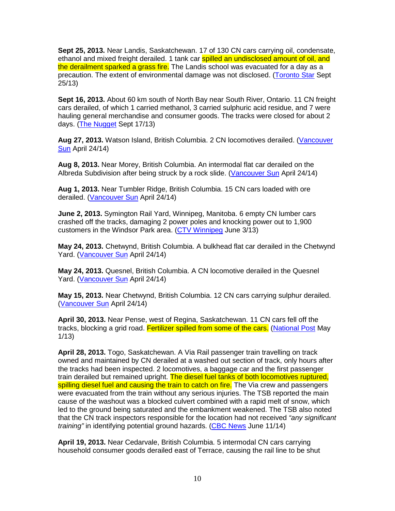**Sept 25, 2013.** Near Landis, Saskatchewan. 17 of 130 CN cars carrying oil, condensate, ethanol and mixed freight derailed. 1 tank car spilled an undisclosed amount of oil, and the derailment sparked a grass fire. The Landis school was evacuated for a day as a precaution. The extent of environmental damage was not disclosed. (Toronto Star Sept 25/13)

**Sept 16, 2013.** About 60 km south of North Bay near South River, Ontario. 11 CN freight cars derailed, of which 1 carried methanol, 3 carried sulphuric acid residue, and 7 were hauling general merchandise and consumer goods. The tracks were closed for about 2 days. (The Nugget Sept 17/13)

**Aug 27, 2013.** Watson Island, British Columbia. 2 CN locomotives derailed. (Vancouver Sun April 24/14)

**Aug 8, 2013.** Near Morey, British Columbia. An intermodal flat car derailed on the Albreda Subdivision after being struck by a rock slide. (Vancouver Sun April 24/14)

**Aug 1, 2013.** Near Tumbler Ridge, British Columbia. 15 CN cars loaded with ore derailed. (Vancouver Sun April 24/14)

**June 2, 2013.** Symington Rail Yard, Winnipeg, Manitoba. 6 empty CN lumber cars crashed off the tracks, damaging 2 power poles and knocking power out to 1,900 customers in the Windsor Park area. (CTV Winnipeg June 3/13)

**May 24, 2013.** Chetwynd, British Columbia. A bulkhead flat car derailed in the Chetwynd Yard. (Vancouver Sun April 24/14)

**May 24, 2013.** Quesnel, British Columbia. A CN locomotive derailed in the Quesnel Yard. (Vancouver Sun April 24/14)

**May 15, 2013.** Near Chetwynd, British Columbia. 12 CN cars carrying sulphur derailed. (Vancouver Sun April 24/14)

**April 30, 2013.** Near Pense, west of Regina, Saskatchewan. 11 CN cars fell off the tracks, blocking a grid road. Fertilizer spilled from some of the cars. (National Post May 1/13)

**April 28, 2013.** Togo, Saskatchewan. A Via Rail passenger train travelling on track owned and maintained by CN derailed at a washed out section of track, only hours after the tracks had been inspected. 2 locomotives, a baggage car and the first passenger train derailed but remained upright. The diesel fuel tanks of both locomotives ruptured, spilling diesel fuel and causing the train to catch on fire. The Via crew and passengers were evacuated from the train without any serious injuries. The TSB reported the main cause of the washout was a blocked culvert combined with a rapid melt of snow, which led to the ground being saturated and the embankment weakened. The TSB also noted that the CN track inspectors responsible for the location had not received "any significant" training" in identifying potential ground hazards. (CBC News June 11/14)

**April 19, 2013.** Near Cedarvale, British Columbia. 5 intermodal CN cars carrying household consumer goods derailed east of Terrace, causing the rail line to be shut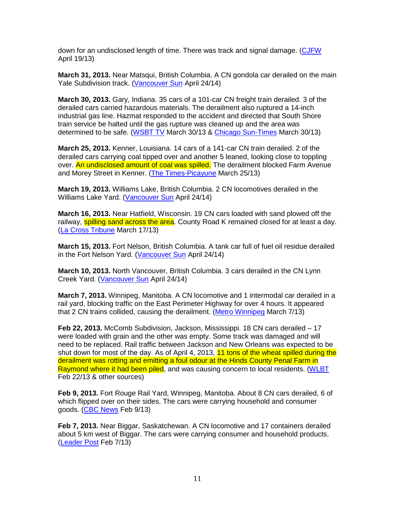down for an undisclosed length of time. There was track and signal damage. (CJFW April 19/13)

**March 31, 2013.** Near Matsqui, British Columbia. A CN gondola car derailed on the main Yale Subdivision track. (Vancouver Sun April 24/14)

**March 30, 2013.** Gary, Indiana. 35 cars of a 101-car CN freight train derailed. 3 of the derailed cars carried hazardous materials. The derailment also ruptured a 14-inch industrial gas line. Hazmat responded to the accident and directed that South Shore train service be halted until the gas rupture was cleaned up and the area was determined to be safe. (WSBT TV March 30/13 & Chicago Sun-Times March 30/13)

**March 25, 2013.** Kenner, Louisiana. 14 cars of a 141-car CN train derailed. 2 of the derailed cars carrying coal tipped over and another 5 leaned, looking close to toppling over. An undisclosed amount of coal was spilled. The derailment blocked Farm Avenue and Morey Street in Kenner. (The Times-Picayune March 25/13)

**March 19, 2013.** Williams Lake, British Columbia. 2 CN locomotives derailed in the Williams Lake Yard. (Vancouver Sun April 24/14)

**March 16, 2013.** Near Hatfield, Wisconsin. 19 CN cars loaded with sand plowed off the railway, **spilling sand across the area**. County Road K remained closed for at least a day. (La Cross Tribune March 17/13)

**March 15, 2013.** Fort Nelson, British Columbia. A tank car full of fuel oil residue derailed in the Fort Nelson Yard. (Vancouver Sun April 24/14)

**March 10, 2013.** North Vancouver, British Columbia. 3 cars derailed in the CN Lynn Creek Yard. (Vancouver Sun April 24/14)

**March 7, 2013.** Winnipeg, Manitoba. A CN locomotive and 1 intermodal car derailed in a rail yard, blocking traffic on the East Perimeter Highway for over 4 hours. It appeared that 2 CN trains collided, causing the derailment. (Metro Winnipeg March 7/13)

**Feb 22, 2013.** McComb Subdivision, Jackson, Mississippi. 18 CN cars derailed – 17 were loaded with grain and the other was empty. Some track was damaged and will need to be replaced. Rail traffic between Jackson and New Orleans was expected to be shut down for most of the day. As of April 4, 2013, 11 tons of the wheat spilled during the derailment was rotting and emitting a foul odour at the Hinds County Penal Farm in Raymond where it had been piled, and was causing concern to local residents. (WLBT Feb 22/13 & other sources)

**Feb 9, 2013.** Fort Rouge Rail Yard, Winnipeg, Manitoba. About 8 CN cars derailed, 6 of which flipped over on their sides. The cars were carrying household and consumer goods. (CBC News Feb 9/13)

**Feb 7, 2013.** Near Biggar, Saskatchewan. A CN locomotive and 17 containers derailed about 5 km west of Biggar. The cars were carrying consumer and household products. (Leader Post Feb 7/13)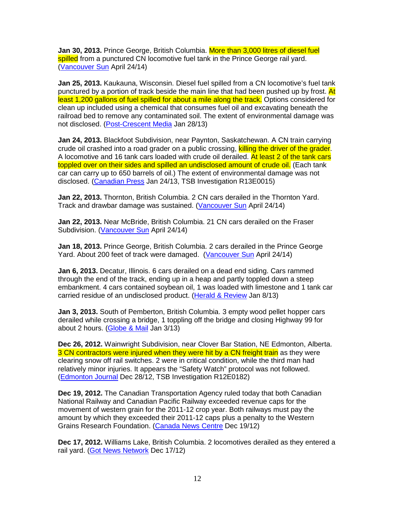**Jan 30, 2013.** Prince George, British Columbia. More than 3,000 litres of diesel fuel spilled from a punctured CN locomotive fuel tank in the Prince George rail yard. (Vancouver Sun April 24/14)

**Jan 25, 2013.** Kaukauna, Wisconsin. Diesel fuel spilled from a CN locomotive's fuel tank punctured by a portion of track beside the main line that had been pushed up by frost. At least 1,200 gallons of fuel spilled for about a mile along the track. Options considered for clean up included using a chemical that consumes fuel oil and excavating beneath the railroad bed to remove any contaminated soil. The extent of environmental damage was not disclosed. (Post-Crescent Media Jan 28/13)

**Jan 24, 2013.** Blackfoot Subdivision, near Paynton, Saskatchewan. A CN train carrying crude oil crashed into a road grader on a public crossing, killing the driver of the grader. A locomotive and 16 tank cars loaded with crude oil derailed. At least 2 of the tank cars toppled over on their sides and spilled an undisclosed amount of crude oil. (Each tank car can carry up to 650 barrels of oil.) The extent of environmental damage was not disclosed. (Canadian Press Jan 24/13, TSB Investigation R13E0015)

**Jan 22, 2013.** Thornton, British Columbia. 2 CN cars derailed in the Thornton Yard. Track and drawbar damage was sustained. (Vancouver Sun April 24/14)

**Jan 22, 2013.** Near McBride, British Columbia. 21 CN cars derailed on the Fraser Subdivision. (Vancouver Sun April 24/14)

**Jan 18, 2013.** Prince George, British Columbia. 2 cars derailed in the Prince George Yard. About 200 feet of track were damaged. (Vancouver Sun April 24/14)

**Jan 6, 2013.** Decatur, Illinois. 6 cars derailed on a dead end siding. Cars rammed through the end of the track, ending up in a heap and partly toppled down a steep embankment. 4 cars contained soybean oil, 1 was loaded with limestone and 1 tank car carried residue of an undisclosed product. (Herald & Review Jan 8/13)

**Jan 3, 2013.** South of Pemberton, British Columbia. 3 empty wood pellet hopper cars derailed while crossing a bridge, 1 toppling off the bridge and closing Highway 99 for about 2 hours. (Globe & Mail Jan 3/13)

**Dec 26, 2012.** Wainwright Subdivision, near Clover Bar Station, NE Edmonton, Alberta. 3 CN contractors were injured when they were hit by a CN freight train as they were clearing snow off rail switches. 2 were in critical condition, while the third man had relatively minor injuries. It appears the "Safety Watch" protocol was not followed. (Edmonton Journal Dec 28/12, TSB Investigation R12E0182)

**Dec 19, 2012.** The Canadian Transportation Agency ruled today that both Canadian National Railway and Canadian Pacific Railway exceeded revenue caps for the movement of western grain for the 2011-12 crop year. Both railways must pay the amount by which they exceeded their 2011-12 caps plus a penalty to the Western Grains Research Foundation. (Canada News Centre Dec 19/12)

**Dec 17, 2012.** Williams Lake, British Columbia. 2 locomotives derailed as they entered a rail yard. (Got News Network Dec 17/12)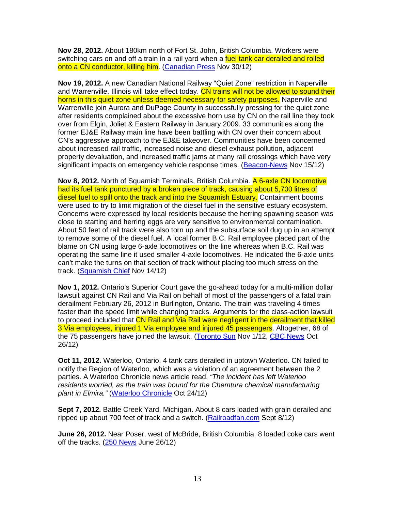**Nov 28, 2012.** About 180km north of Fort St. John, British Columbia. Workers were switching cars on and off a train in a rail yard when a fuel tank car derailed and rolled onto a CN conductor, killing him. (Canadian Press Nov 30/12)

**Nov 19, 2012.** A new Canadian National Railway "Quiet Zone" restriction in Naperville and Warrenville, Illinois will take effect today. CN trains will not be allowed to sound their horns in this quiet zone unless deemed necessary for safety purposes. Naperville and Warrenville join Aurora and DuPage County in successfully pressing for the quiet zone after residents complained about the excessive horn use by CN on the rail line they took over from Elgin, Joliet & Eastern Railway in January 2009. 33 communities along the former EJ&E Railway main line have been battling with CN over their concern about CN's aggressive approach to the EJ&E takeover. Communities have been concerned about increased rail traffic, increased noise and diesel exhaust pollution, adjacent property devaluation, and increased traffic jams at many rail crossings which have very significant impacts on emergency vehicle response times. (Beacon-News Nov 15/12)

**Nov 8, 2012.** North of Squamish Terminals, British Columbia. A 6-axle CN locomotive had its fuel tank punctured by a broken piece of track, causing about 5,700 litres of diesel fuel to spill onto the track and into the Squamish Estuary. Containment booms were used to try to limit migration of the diesel fuel in the sensitive estuary ecosystem. Concerns were expressed by local residents because the herring spawning season was close to starting and herring eggs are very sensitive to environmental contamination. About 50 feet of rail track were also torn up and the subsurface soil dug up in an attempt to remove some of the diesel fuel. A local former B.C. Rail employee placed part of the blame on CN using large 6-axle locomotives on the line whereas when B.C. Rail was operating the same line it used smaller 4-axle locomotives. He indicated the 6-axle units can't make the turns on that section of track without placing too much stress on the track. (Squamish Chief Nov 14/12)

**Nov 1, 2012.** Ontario's Superior Court gave the go-ahead today for a multi-million dollar lawsuit against CN Rail and Via Rail on behalf of most of the passengers of a fatal train derailment February 26, 2012 in Burlington, Ontario. The train was traveling 4 times faster than the speed limit while changing tracks. Arguments for the class-action lawsuit to proceed included that CN Rail and Via Rail were negligent in the derailment that killed 3 Via employees, injured 1 Via employee and injured 45 passengers. Altogether, 68 of the 75 passengers have joined the lawsuit. (Toronto Sun Nov 1/12, CBC News Oct 26/12)

**Oct 11, 2012.** Waterloo, Ontario. 4 tank cars derailed in uptown Waterloo. CN failed to notify the Region of Waterloo, which was a violation of an agreement between the 2 parties. A Waterloo Chronicle news article read, "The incident has left Waterloo residents worried, as the train was bound for the Chemtura chemical manufacturing plant in Elmira." (Waterloo Chronicle Oct 24/12)

**Sept 7, 2012.** Battle Creek Yard, Michigan. About 8 cars loaded with grain derailed and ripped up about 700 feet of track and a switch. (Railroadfan.com Sept 8/12)

**June 26, 2012.** Near Poser, west of McBride, British Columbia. 8 loaded coke cars went off the tracks. (250 News June 26/12)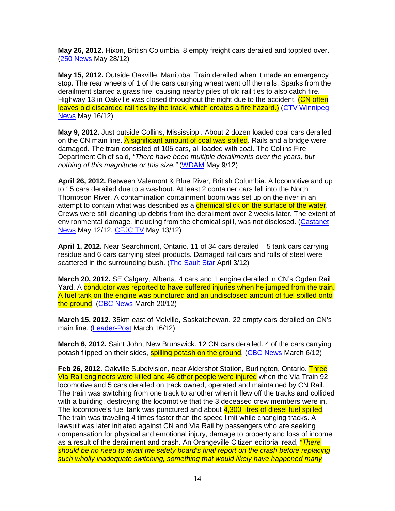**May 26, 2012.** Hixon, British Columbia. 8 empty freight cars derailed and toppled over. (250 News May 28/12)

**May 15, 2012.** Outside Oakville, Manitoba. Train derailed when it made an emergency stop. The rear wheels of 1 of the cars carrying wheat went off the rails. Sparks from the derailment started a grass fire, causing nearby piles of old rail ties to also catch fire. Highway 13 in Oakville was closed throughout the night due to the accident. (CN often leaves old discarded rail ties by the track, which creates a fire hazard.) (CTV Winnipeg News May 16/12)

**May 9, 2012.** Just outside Collins, Mississippi. About 2 dozen loaded coal cars derailed on the CN main line. A significant amount of coal was spilled. Rails and a bridge were damaged. The train consisted of 105 cars, all loaded with coal. The Collins Fire Department Chief said, "There have been multiple derailments over the years, but nothing of this magnitude or this size." (WDAM May 9/12)

**April 26, 2012.** Between Valemont & Blue River, British Columbia. A locomotive and up to 15 cars derailed due to a washout. At least 2 container cars fell into the North Thompson River. A contamination containment boom was set up on the river in an attempt to contain what was described as a **chemical slick on the surface of the water**. Crews were still cleaning up debris from the derailment over 2 weeks later. The extent of environmental damage, including from the chemical spill, was not disclosed. (Castanet News May 12/12, CFJC TV May 13/12)

**April 1, 2012.** Near Searchmont, Ontario. 11 of 34 cars derailed – 5 tank cars carrying residue and 6 cars carrying steel products. Damaged rail cars and rolls of steel were scattered in the surrounding bush. (The Sault Star April 3/12)

**March 20, 2012.** SE Calgary, Alberta. 4 cars and 1 engine derailed in CN's Ogden Rail Yard. A conductor was reported to have suffered injuries when he jumped from the train. A fuel tank on the engine was punctured and an undisclosed amount of fuel spilled onto the ground. (CBC News March 20/12)

**March 15, 2012.** 35km east of Melville, Saskatchewan. 22 empty cars derailed on CN's main line. (Leader-Post March 16/12)

**March 6, 2012.** Saint John, New Brunswick. 12 CN cars derailed. 4 of the cars carrying potash flipped on their sides, **spilling potash on the ground.** (CBC News March 6/12)

**Feb 26, 2012.** Oakville Subdivision, near Aldershot Station, Burlington, Ontario. Three Via Rail engineers were killed and 46 other people were injured when the Via Train 92 locomotive and 5 cars derailed on track owned, operated and maintained by CN Rail. The train was switching from one track to another when it flew off the tracks and collided with a building, destroying the locomotive that the 3 deceased crew members were in. The locomotive's fuel tank was punctured and about 4,300 litres of diesel fuel spilled. The train was traveling 4 times faster than the speed limit while changing tracks. A lawsuit was later initiated against CN and Via Rail by passengers who are seeking compensation for physical and emotional injury, damage to property and loss of income as a result of the derailment and crash. An Orangeville Citizen editorial read, "There should be no need to await the safety board's final report on the crash before replacing such wholly inadequate switching, something that would likely have happened many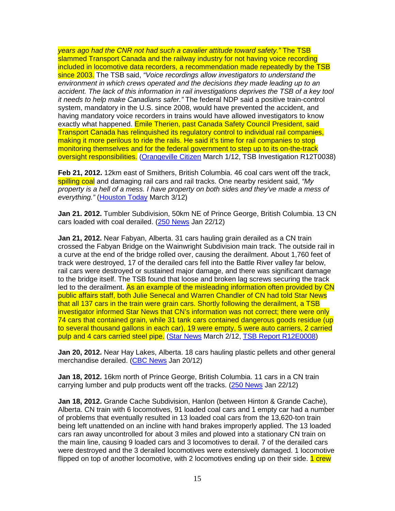years ago had the CNR not had such a cavalier attitude toward safety." The TSB slammed Transport Canada and the railway industry for not having voice recording included in locomotive data recorders, a recommendation made repeatedly by the TSB since 2003. The TSB said, "Voice recordings allow investigators to understand the environment in which crews operated and the decisions they made leading up to an accident. The lack of this information in rail investigations deprives the TSB of a key tool it needs to help make Canadians safer." The federal NDP said a positive train-control system, mandatory in the U.S. since 2008, would have prevented the accident, and having mandatory voice recorders in trains would have allowed investigators to know exactly what happened. Emile Therien, past Canada Safety Council President, said Transport Canada has relinquished its regulatory control to individual rail companies, making it more perilous to ride the rails. He said it's time for rail companies to stop monitoring themselves and for the federal government to step up to its on-the-track oversight responsibilities. (Orangeville Citizen March 1/12, TSB Investigation R12T0038)

**Feb 21, 2012.** 12km east of Smithers, British Columbia. 46 coal cars went off the track, spilling coal and damaging rail cars and rail tracks. One nearby resident said, "My property is a hell of a mess. I have property on both sides and they've made a mess of everything." (Houston Today March 3/12)

**Jan 21. 2012.** Tumbler Subdivision, 50km NE of Prince George, British Columbia. 13 CN cars loaded with coal derailed. (250 News Jan 22/12)

**Jan 21, 2012.** Near Fabyan, Alberta. 31 cars hauling grain derailed as a CN train crossed the Fabyan Bridge on the Wainwright Subdivision main track. The outside rail in a curve at the end of the bridge rolled over, causing the derailment. About 1,760 feet of track were destroyed, 17 of the derailed cars fell into the Battle River valley far below, rail cars were destroyed or sustained major damage, and there was significant damage to the bridge itself. The TSB found that loose and broken lag screws securing the track led to the derailment. As an example of the misleading information often provided by CN public affairs staff, both Julie Senecal and Warren Chandler of CN had told Star News that all 137 cars in the train were grain cars. Shortly following the derailment, a TSB investigator informed Star News that CN's information was not correct; there were only 74 cars that contained grain, while 31 tank cars contained dangerous goods residue (up to several thousand gallons in each car), 19 were empty, 5 were auto carriers, 2 carried pulp and 4 cars carried steel pipe. (Star News March 2/12, TSB Report R12E0008)

**Jan 20, 2012.** Near Hay Lakes, Alberta. 18 cars hauling plastic pellets and other general merchandise derailed. (CBC News Jan 20/12)

**Jan 18, 2012.** 16km north of Prince George, British Columbia. 11 cars in a CN train carrying lumber and pulp products went off the tracks. (250 News Jan 22/12)

**Jan 18, 2012.** Grande Cache Subdivision, Hanlon (between Hinton & Grande Cache), Alberta. CN train with 6 locomotives, 91 loaded coal cars and 1 empty car had a number of problems that eventually resulted in 13 loaded coal cars from the 13,620-ton train being left unattended on an incline with hand brakes improperly applied. The 13 loaded cars ran away uncontrolled for about 3 miles and plowed into a stationary CN train on the main line, causing 9 loaded cars and 3 locomotives to derail. 7 of the derailed cars were destroyed and the 3 derailed locomotives were extensively damaged. 1 locomotive flipped on top of another locomotive, with 2 locomotives ending up on their side. 1 crew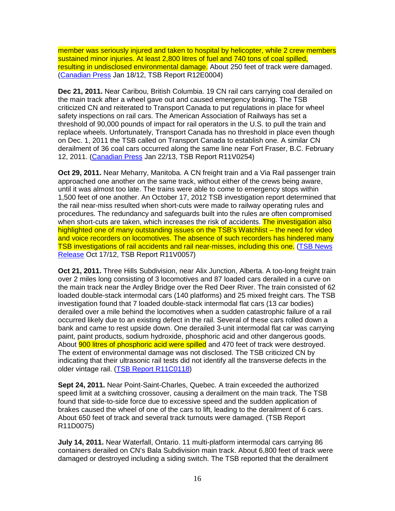member was seriously injured and taken to hospital by helicopter, while 2 crew members sustained minor injuries. At least 2,800 litres of fuel and 740 tons of coal spilled, resulting in undisclosed environmental damage. About 250 feet of track were damaged. (Canadian Press Jan 18/12, TSB Report R12E0004)

**Dec 21, 2011.** Near Caribou, British Columbia. 19 CN rail cars carrying coal derailed on the main track after a wheel gave out and caused emergency braking. The TSB criticized CN and reiterated to Transport Canada to put regulations in place for wheel safety inspections on rail cars. The American Association of Railways has set a threshold of 90,000 pounds of impact for rail operators in the U.S. to pull the train and replace wheels. Unfortunately, Transport Canada has no threshold in place even though on Dec. 1, 2011 the TSB called on Transport Canada to establish one. A similar CN derailment of 36 coal cars occurred along the same line near Fort Fraser, B.C. February 12, 2011. (Canadian Press Jan 22/13, TSB Report R11V0254)

**Oct 29, 2011.** Near Meharry, Manitoba. A CN freight train and a Via Rail passenger train approached one another on the same track, without either of the crews being aware, until it was almost too late. The trains were able to come to emergency stops within 1,500 feet of one another. An October 17, 2012 TSB investigation report determined that the rail near-miss resulted when short-cuts were made to railway operating rules and procedures. The redundancy and safeguards built into the rules are often compromised when short-cuts are taken, which increases the risk of accidents. The investigation also highlighted one of many outstanding issues on the TSB's Watchlist – the need for video and voice recorders on locomotives. The absence of such recorders has hindered many TSB investigations of rail accidents and rail near-misses, including this one. (TSB News Release Oct 17/12, TSB Report R11V0057)

**Oct 21, 2011.** Three Hills Subdivision, near Alix Junction, Alberta. A too-long freight train over 2 miles long consisting of 3 locomotives and 87 loaded cars derailed in a curve on the main track near the Ardley Bridge over the Red Deer River. The train consisted of 62 loaded double-stack intermodal cars (140 platforms) and 25 mixed freight cars. The TSB investigation found that 7 loaded double-stack intermodal flat cars (13 car bodies) derailed over a mile behind the locomotives when a sudden catastrophic failure of a rail occurred likely due to an existing defect in the rail. Several of these cars rolled down a bank and came to rest upside down. One derailed 3-unit intermodal flat car was carrying paint, paint products, sodium hydroxide, phosphoric acid and other dangerous goods. About **900 litres of phosphoric acid were spilled** and 470 feet of track were destroyed. The extent of environmental damage was not disclosed. The TSB criticized CN by indicating that their ultrasonic rail tests did not identify all the transverse defects in the older vintage rail. (TSB Report R11C0118)

**Sept 24, 2011.** Near Point-Saint-Charles, Quebec. A train exceeded the authorized speed limit at a switching crossover, causing a derailment on the main track. The TSB found that side-to-side force due to excessive speed and the sudden application of brakes caused the wheel of one of the cars to lift, leading to the derailment of 6 cars. About 650 feet of track and several track turnouts were damaged. (TSB Report R11D0075)

**July 14, 2011.** Near Waterfall, Ontario. 11 multi-platform intermodal cars carrying 86 containers derailed on CN's Bala Subdivision main track. About 6,800 feet of track were damaged or destroyed including a siding switch. The TSB reported that the derailment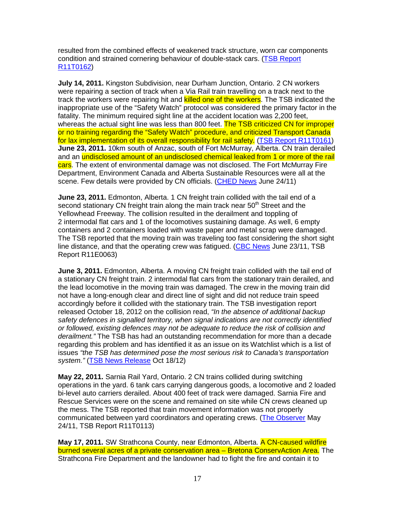resulted from the combined effects of weakened track structure, worn car components condition and strained cornering behaviour of double-stack cars. (TSB Report R11T0162)

**July 14, 2011.** Kingston Subdivision, near Durham Junction, Ontario. 2 CN workers were repairing a section of track when a Via Rail train travelling on a track next to the track the workers were repairing hit and **killed one of the workers**. The TSB indicated the inappropriate use of the "Safety Watch" protocol was considered the primary factor in the fatality. The minimum required sight line at the accident location was 2,200 feet, whereas the actual sight line was less than 800 feet. The TSB criticized CN for improper or no training regarding the "Safety Watch" procedure, and criticized Transport Canada for lax implementation of its overall responsibility for rail safety. (TSB Report R11T0161) **June 23, 2011.** 10km south of Anzac, south of Fort McMurray, Alberta. CN train derailed and an undisclosed amount of an undisclosed chemical leaked from 1 or more of the rail cars. The extent of environmental damage was not disclosed. The Fort McMurray Fire Department, Environment Canada and Alberta Sustainable Resources were all at the scene. Few details were provided by CN officials. (CHED News June 24/11)

**June 23, 2011.** Edmonton, Alberta. 1 CN freight train collided with the tail end of a second stationary CN freight train along the main track near  $50<sup>th</sup>$  Street and the Yellowhead Freeway. The collision resulted in the derailment and toppling of 2 intermodal flat cars and 1 of the locomotives sustaining damage. As well, 6 empty containers and 2 containers loaded with waste paper and metal scrap were damaged. The TSB reported that the moving train was traveling too fast considering the short sight line distance, and that the operating crew was fatigued. (CBC News June 23/11, TSB Report R11E0063)

**June 3, 2011.** Edmonton, Alberta. A moving CN freight train collided with the tail end of a stationary CN freight train. 2 intermodal flat cars from the stationary train derailed, and the lead locomotive in the moving train was damaged. The crew in the moving train did not have a long-enough clear and direct line of sight and did not reduce train speed accordingly before it collided with the stationary train. The TSB investigation report released October 18, 2012 on the collision read, "In the absence of additional backup safety defences in signalled territory, when signal indications are not correctly identified or followed, existing defences may not be adequate to reduce the risk of collision and derailment." The TSB has had an outstanding recommendation for more than a decade regarding this problem and has identified it as an issue on its Watchlist which is a list of issues "the TSB has determined pose the most serious risk to Canada's transportation system." (TSB News Release Oct 18/12)

**May 22, 2011.** Sarnia Rail Yard, Ontario. 2 CN trains collided during switching operations in the yard. 6 tank cars carrying dangerous goods, a locomotive and 2 loaded bi-level auto carriers derailed. About 400 feet of track were damaged. Sarnia Fire and Rescue Services were on the scene and remained on site while CN crews cleaned up the mess. The TSB reported that train movement information was not properly communicated between yard coordinators and operating crews. (The Observer May 24/11, TSB Report R11T0113)

**May 17, 2011.** SW Strathcona County, near Edmonton, Alberta. A CN-caused wildfire burned several acres of a private conservation area – Bretona ConservAction Area. The Strathcona Fire Department and the landowner had to fight the fire and contain it to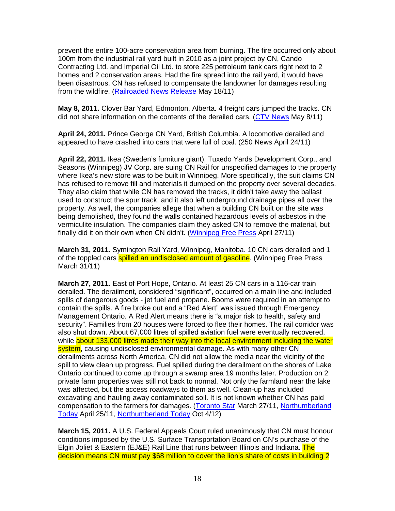prevent the entire 100-acre conservation area from burning. The fire occurred only about 100m from the industrial rail yard built in 2010 as a joint project by CN, Cando Contracting Ltd. and Imperial Oil Ltd. to store 225 petroleum tank cars right next to 2 homes and 2 conservation areas. Had the fire spread into the rail yard, it would have been disastrous. CN has refused to compensate the landowner for damages resulting from the wildfire. (Railroaded News Release May 18/11)

**May 8, 2011.** Clover Bar Yard, Edmonton, Alberta. 4 freight cars jumped the tracks. CN did not share information on the contents of the derailed cars. (CTV News May 8/11)

**April 24, 2011.** Prince George CN Yard, British Columbia. A locomotive derailed and appeared to have crashed into cars that were full of coal. (250 News April 24/11)

**April 22, 2011.** Ikea (Sweden's furniture giant), Tuxedo Yards Development Corp., and Seasons (Winnipeg) JV Corp. are suing CN Rail for unspecified damages to the property where Ikea's new store was to be built in Winnipeg. More specifically, the suit claims CN has refused to remove fill and materials it dumped on the property over several decades. They also claim that while CN has removed the tracks, it didn't take away the ballast used to construct the spur track, and it also left underground drainage pipes all over the property. As well, the companies allege that when a building CN built on the site was being demolished, they found the walls contained hazardous levels of asbestos in the vermiculite insulation. The companies claim they asked CN to remove the material, but finally did it on their own when CN didn't. (Winnipeg Free Press April 27/11)

**March 31, 2011.** Symington Rail Yard, Winnipeg, Manitoba. 10 CN cars derailed and 1 of the toppled cars **spilled an undisclosed amount of gasoline**. (Winnipeg Free Press March 31/11)

**March 27, 2011.** East of Port Hope, Ontario. At least 25 CN cars in a 116-car train derailed. The derailment, considered "significant", occurred on a main line and included spills of dangerous goods - jet fuel and propane. Booms were required in an attempt to contain the spills. A fire broke out and a "Red Alert" was issued through Emergency Management Ontario. A Red Alert means there is "a major risk to health, safety and security". Families from 20 houses were forced to flee their homes. The rail corridor was also shut down. About 67,000 litres of spilled aviation fuel were eventually recovered, while about 133,000 litres made their way into the local environment including the water system, causing undisclosed environmental damage. As with many other CN derailments across North America, CN did not allow the media near the vicinity of the spill to view clean up progress. Fuel spilled during the derailment on the shores of Lake Ontario continued to come up through a swamp area 19 months later. Production on 2 private farm properties was still not back to normal. Not only the farmland near the lake was affected, but the access roadways to them as well. Clean-up has included excavating and hauling away contaminated soil. It is not known whether CN has paid compensation to the farmers for damages. (Toronto Star March 27/11, Northumberland Today April 25/11, Northumberland Today Oct 4/12)

**March 15, 2011.** A U.S. Federal Appeals Court ruled unanimously that CN must honour conditions imposed by the U.S. Surface Transportation Board on CN's purchase of the Elgin Joliet & Eastern (EJ&E) Rail Line that runs between Illinois and Indiana. The decision means CN must pay \$68 million to cover the lion's share of costs in building 2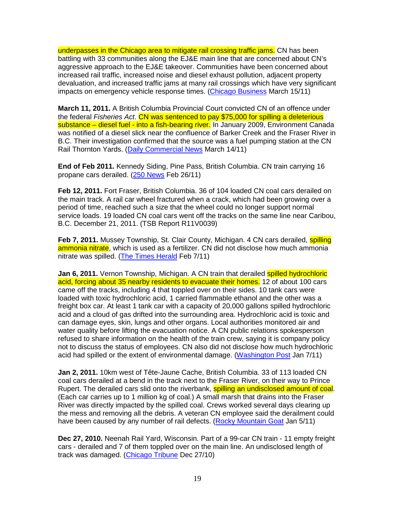underpasses in the Chicago area to mitigate rail crossing traffic jams. CN has been battling with 33 communities along the EJ&E main line that are concerned about CN's aggressive approach to the EJ&E takeover. Communities have been concerned about increased rail traffic, increased noise and diesel exhaust pollution, adjacent property devaluation, and increased traffic jams at many rail crossings which have very significant impacts on emergency vehicle response times. (Chicago Business March 15/11)

**March 11, 2011.** A British Columbia Provincial Court convicted CN of an offence under the federal Fisheries Act. CN was sentenced to pay \$75,000 for spilling a deleterious substance – diesel fuel - into a fish-bearing river. In January 2009, Environment Canada was notified of a diesel slick near the confluence of Barker Creek and the Fraser River in B.C. Their investigation confirmed that the source was a fuel pumping station at the CN Rail Thornton Yards. (Daily Commercial News March 14/11)

**End of Feb 2011.** Kennedy Siding, Pine Pass, British Columbia. CN train carrying 16 propane cars derailed. (250 News Feb 26/11)

**Feb 12, 2011.** Fort Fraser, British Columbia. 36 of 104 loaded CN coal cars derailed on the main track. A rail car wheel fractured when a crack, which had been growing over a period of time, reached such a size that the wheel could no longer support normal service loads. 19 loaded CN coal cars went off the tracks on the same line near Caribou, B.C. December 21, 2011. (TSB Report R11V0039)

**Feb 7, 2011.** Mussey Township, St. Clair County, Michigan. 4 CN cars derailed, **spilling** ammonia nitrate, which is used as a fertilizer. CN did not disclose how much ammonia nitrate was spilled. (The Times Herald Feb 7/11)

**Jan 6, 2011.** Vernon Township, Michigan. A CN train that derailed spilled hydrochloric acid, forcing about 35 nearby residents to evacuate their homes. 12 of about 100 cars came off the tracks, including 4 that toppled over on their sides. 10 tank cars were loaded with toxic hydrochloric acid, 1 carried flammable ethanol and the other was a freight box car. At least 1 tank car with a capacity of 20,000 gallons spilled hydrochloric acid and a cloud of gas drifted into the surrounding area. Hydrochloric acid is toxic and can damage eyes, skin, lungs and other organs. Local authorities monitored air and water quality before lifting the evacuation notice. A CN public relations spokesperson refused to share information on the health of the train crew, saying it is company policy not to discuss the status of employees. CN also did not disclose how much hydrochloric acid had spilled or the extent of environmental damage. (Washington Post Jan 7/11)

**Jan 2, 2011.** 10km west of Tête-Jaune Cache, British Columbia. 33 of 113 loaded CN coal cars derailed at a bend in the track next to the Fraser River, on their way to Prince Rupert. The derailed cars slid onto the riverbank, **spilling an undisclosed amount of coal**. (Each car carries up to 1 million kg of coal.) A small marsh that drains into the Fraser River was directly impacted by the spilled coal. Crews worked several days clearing up the mess and removing all the debris. A veteran CN employee said the derailment could have been caused by any number of rail defects. (Rocky Mountain Goat Jan 5/11)

**Dec 27, 2010.** Neenah Rail Yard, Wisconsin. Part of a 99-car CN train - 11 empty freight cars - derailed and 7 of them toppled over on the main line. An undisclosed length of track was damaged. (Chicago Tribune Dec 27/10)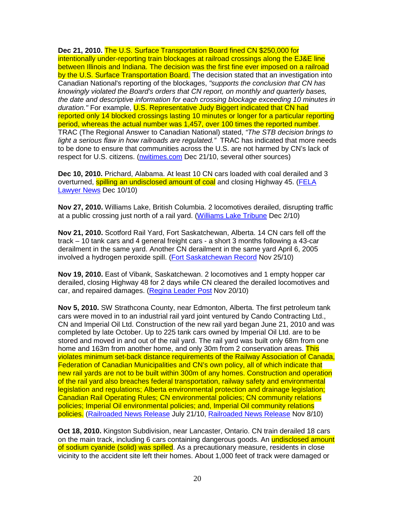**Dec 21, 2010.** The U.S. Surface Transportation Board fined CN \$250,000 for intentionally under-reporting train blockages at railroad crossings along the EJ&E line between Illinois and Indiana. The decision was the first fine ever imposed on a railroad by the U.S. Surface Transportation Board. The decision stated that an investigation into Canadian National's reporting of the blockages, "supports the conclusion that CN has knowingly violated the Board's orders that CN report, on monthly and quarterly bases, the date and descriptive information for each crossing blockage exceeding 10 minutes in duration." For example, U.S. Representative Judy Biggert indicated that CN had reported only 14 blocked crossings lasting 10 minutes or longer for a particular reporting period, whereas the actual number was 1,457, over 100 times the reported number. TRAC (The Regional Answer to Canadian National) stated, "The STB decision brings to light a serious flaw in how railroads are regulated." TRAC has indicated that more needs to be done to ensure that communities across the U.S. are not harmed by CN's lack of respect for U.S. citizens. (nwitimes.com Dec 21/10, several other sources)

**Dec 10, 2010.** Prichard, Alabama. At least 10 CN cars loaded with coal derailed and 3 overturned, **spilling an undisclosed amount of coal** and closing Highway 45. (FELA Lawyer News Dec 10/10)

**Nov 27, 2010.** Williams Lake, British Columbia. 2 locomotives derailed, disrupting traffic at a public crossing just north of a rail yard. (Williams Lake Tribune Dec 2/10)

**Nov 21, 2010.** Scotford Rail Yard, Fort Saskatchewan, Alberta. 14 CN cars fell off the track – 10 tank cars and 4 general freight cars - a short 3 months following a 43-car derailment in the same yard. Another CN derailment in the same yard April 6, 2005 involved a hydrogen peroxide spill. (Fort Saskatchewan Record Nov 25/10)

**Nov 19, 2010.** East of Vibank, Saskatchewan. 2 locomotives and 1 empty hopper car derailed, closing Highway 48 for 2 days while CN cleared the derailed locomotives and car, and repaired damages. (Regina Leader Post Nov 20/10)

**Nov 5, 2010.** SW Strathcona County, near Edmonton, Alberta. The first petroleum tank cars were moved in to an industrial rail yard joint ventured by Cando Contracting Ltd., CN and Imperial Oil Ltd. Construction of the new rail yard began June 21, 2010 and was completed by late October. Up to 225 tank cars owned by Imperial Oil Ltd. are to be stored and moved in and out of the rail yard. The rail yard was built only 68m from one home and 163m from another home, and only 30m from 2 conservation areas. This violates minimum set-back distance requirements of the Railway Association of Canada, Federation of Canadian Municipalities and CN's own policy, all of which indicate that new rail yards are not to be built within 300m of any homes. Construction and operation of the rail yard also breaches federal transportation, railway safety and environmental legislation and regulations; Alberta environmental protection and drainage legislation; Canadian Rail Operating Rules; CN environmental policies; CN community relations policies; Imperial Oil environmental policies; and, Imperial Oil community relations policies. (Railroaded News Release July 21/10, Railroaded News Release Nov 8/10)

**Oct 18, 2010.** Kingston Subdivision, near Lancaster, Ontario. CN train derailed 18 cars on the main track, including 6 cars containing dangerous goods. An **undisclosed amount** of sodium cyanide (solid) was spilled. As a precautionary measure, residents in close vicinity to the accident site left their homes. About 1,000 feet of track were damaged or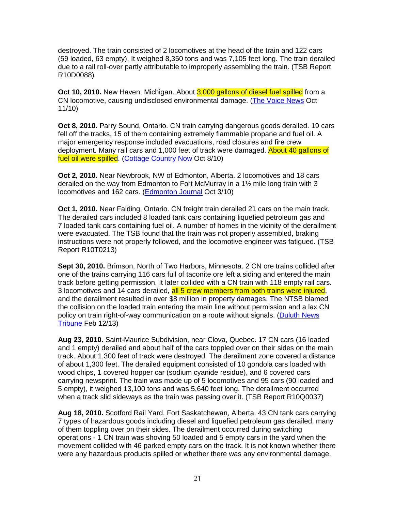destroyed. The train consisted of 2 locomotives at the head of the train and 122 cars (59 loaded, 63 empty). It weighed 8,350 tons and was 7,105 feet long. The train derailed due to a rail roll-over partly attributable to improperly assembling the train. (TSB Report R10D0088)

**Oct 10, 2010.** New Haven, Michigan. About 3,000 gallons of diesel fuel spilled from a CN locomotive, causing undisclosed environmental damage. (The Voice News Oct 11/10)

**Oct 8, 2010.** Parry Sound, Ontario. CN train carrying dangerous goods derailed. 19 cars fell off the tracks, 15 of them containing extremely flammable propane and fuel oil. A major emergency response included evacuations, road closures and fire crew deployment. Many rail cars and 1,000 feet of track were damaged. About 40 gallons of fuel oil were spilled. (Cottage Country Now Oct 8/10)

**Oct 2, 2010.** Near Newbrook, NW of Edmonton, Alberta. 2 locomotives and 18 cars derailed on the way from Edmonton to Fort McMurray in a 1½ mile long train with 3 locomotives and 162 cars. (Edmonton Journal Oct 3/10)

**Oct 1, 2010.** Near Falding, Ontario. CN freight train derailed 21 cars on the main track. The derailed cars included 8 loaded tank cars containing liquefied petroleum gas and 7 loaded tank cars containing fuel oil. A number of homes in the vicinity of the derailment were evacuated. The TSB found that the train was not properly assembled, braking instructions were not properly followed, and the locomotive engineer was fatigued. (TSB Report R10T0213)

**Sept 30, 2010.** Brimson, North of Two Harbors, Minnesota. 2 CN ore trains collided after one of the trains carrying 116 cars full of taconite ore left a siding and entered the main track before getting permission. It later collided with a CN train with 118 empty rail cars. 3 locomotives and 14 cars derailed, all 5 crew members from both trains were injured, and the derailment resulted in over \$8 million in property damages. The NTSB blamed the collision on the loaded train entering the main line without permission and a lax CN policy on train right-of-way communication on a route without signals. (Duluth News Tribune Feb 12/13)

**Aug 23, 2010.** Saint-Maurice Subdivision, near Clova, Quebec. 17 CN cars (16 loaded and 1 empty) derailed and about half of the cars toppled over on their sides on the main track. About 1,300 feet of track were destroyed. The derailment zone covered a distance of about 1,300 feet. The derailed equipment consisted of 10 gondola cars loaded with wood chips, 1 covered hopper car (sodium cyanide residue), and 6 covered cars carrying newsprint. The train was made up of 5 locomotives and 95 cars (90 loaded and 5 empty), it weighed 13,100 tons and was 5,640 feet long. The derailment occurred when a track slid sideways as the train was passing over it. (TSB Report R10Q0037)

**Aug 18, 2010.** Scotford Rail Yard, Fort Saskatchewan, Alberta. 43 CN tank cars carrying 7 types of hazardous goods including diesel and liquefied petroleum gas derailed, many of them toppling over on their sides. The derailment occurred during switching operations - 1 CN train was shoving 50 loaded and 5 empty cars in the yard when the movement collided with 46 parked empty cars on the track. It is not known whether there were any hazardous products spilled or whether there was any environmental damage,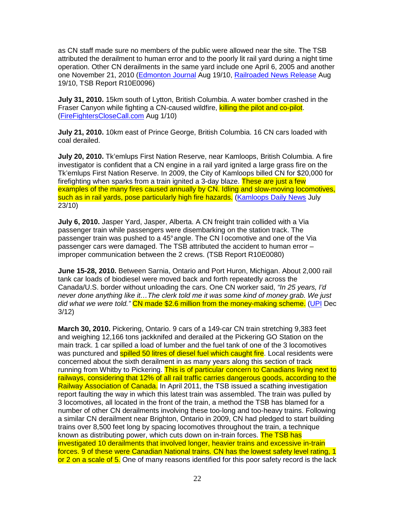as CN staff made sure no members of the public were allowed near the site. The TSB attributed the derailment to human error and to the poorly lit rail yard during a night time operation. Other CN derailments in the same yard include one April 6, 2005 and another one November 21, 2010 (Edmonton Journal Aug 19/10, Railroaded News Release Aug 19/10, TSB Report R10E0096)

**July 31, 2010.** 15km south of Lytton, British Columbia. A water bomber crashed in the Fraser Canyon while fighting a CN-caused wildfire, killing the pilot and co-pilot. (FireFightersCloseCall.com Aug 1/10)

**July 21, 2010.** 10km east of Prince George, British Columbia. 16 CN cars loaded with coal derailed.

**July 20, 2010.** Tk'emlups First Nation Reserve, near Kamloops, British Columbia. A fire investigator is confident that a CN engine in a rail yard ignited a large grass fire on the Tk'emlups First Nation Reserve. In 2009, the City of Kamloops billed CN for \$20,000 for firefighting when sparks from a train ignited a 3-day blaze. These are just a few examples of the many fires caused annually by CN. Idling and slow-moving locomotives, such as in rail yards, pose particularly high fire hazards. (Kamloops Daily News July 23/10)

**July 6, 2010.** Jasper Yard, Jasper, Alberta. A CN freight train collided with a Via passenger train while passengers were disembarking on the station track. The passenger train was pushed to a 45° angle. The CN l ocomotive and one of the Via passenger cars were damaged. The TSB attributed the accident to human error – improper communication between the 2 crews. (TSB Report R10E0080)

**June 15-28, 2010.** Between Sarnia, Ontario and Port Huron, Michigan. About 2,000 rail tank car loads of biodiesel were moved back and forth repeatedly across the Canada/U.S. border without unloading the cars. One CN worker said, "In 25 years, I'd never done anything like it…The clerk told me it was some kind of money grab. We just did what we were told." CN made \$2.6 million from the money-making scheme. (UPI Dec 3/12)

**March 30, 2010.** Pickering, Ontario. 9 cars of a 149-car CN train stretching 9,383 feet and weighing 12,166 tons jackknifed and derailed at the Pickering GO Station on the main track. 1 car spilled a load of lumber and the fuel tank of one of the 3 locomotives was punctured and **spilled 50 litres of diesel fuel which caught fire**. Local residents were concerned about the sixth derailment in as many years along this section of track running from Whitby to Pickering. This is of particular concern to Canadians living next to railways, considering that 12% of all rail traffic carries dangerous goods, according to the Railway Association of Canada. In April 2011, the TSB issued a scathing investigation report faulting the way in which this latest train was assembled. The train was pulled by 3 locomotives, all located in the front of the train, a method the TSB has blamed for a number of other CN derailments involving these too-long and too-heavy trains. Following a similar CN derailment near Brighton, Ontario in 2009, CN had pledged to start building trains over 8,500 feet long by spacing locomotives throughout the train, a technique known as distributing power, which cuts down on in-train forces. The TSB has investigated 10 derailments that involved longer, heavier trains and excessive in-train forces. 9 of these were Canadian National trains. CN has the lowest safety level rating, 1 or 2 on a scale of 5. One of many reasons identified for this poor safety record is the lack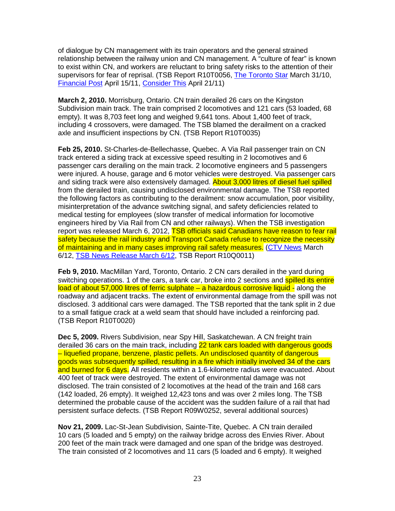of dialogue by CN management with its train operators and the general strained relationship between the railway union and CN management. A "culture of fear" is known to exist within CN, and workers are reluctant to bring safety risks to the attention of their supervisors for fear of reprisal. (TSB Report R10T0056, The Toronto Star March 31/10, Financial Post April 15/11, Consider This April 21/11)

**March 2, 2010.** Morrisburg, Ontario. CN train derailed 26 cars on the Kingston Subdivision main track. The train comprised 2 locomotives and 121 cars (53 loaded, 68 empty). It was 8,703 feet long and weighed 9,641 tons. About 1,400 feet of track, including 4 crossovers, were damaged. The TSB blamed the derailment on a cracked axle and insufficient inspections by CN. (TSB Report R10T0035)

**Feb 25, 2010.** St-Charles-de-Bellechasse, Quebec. A Via Rail passenger train on CN track entered a siding track at excessive speed resulting in 2 locomotives and 6 passenger cars derailing on the main track. 2 locomotive engineers and 5 passengers were injured. A house, garage and 6 motor vehicles were destroyed. Via passenger cars and siding track were also extensively damaged. About 3,000 litres of diesel fuel spilled from the derailed train, causing undisclosed environmental damage. The TSB reported the following factors as contributing to the derailment: snow accumulation, poor visibility, misinterpretation of the advance switching signal, and safety deficiencies related to medical testing for employees (slow transfer of medical information for locomotive engineers hired by Via Rail from CN and other railways). When the TSB investigation report was released March 6, 2012, TSB officials said Canadians have reason to fear rail safety because the rail industry and Transport Canada refuse to recognize the necessity of maintaining and in many cases improving rail safety measures. (CTV News March 6/12, TSB News Release March 6/12, TSB Report R10Q0011)

**Feb 9, 2010.** MacMillan Yard, Toronto, Ontario. 2 CN cars derailed in the yard during switching operations. 1 of the cars, a tank car, broke into 2 sections and spilled its entire load of about 57,000 litres of ferric sulphate – a hazardous corrosive liquid - along the roadway and adjacent tracks. The extent of environmental damage from the spill was not disclosed. 3 additional cars were damaged. The TSB reported that the tank split in 2 due to a small fatigue crack at a weld seam that should have included a reinforcing pad. (TSB Report R10T0020)

**Dec 5, 2009.** Rivers Subdivision, near Spy Hill, Saskatchewan. A CN freight train derailed 36 cars on the main track, including 22 tank cars loaded with dangerous goods – liquefied propane, benzene, plastic pellets. An undisclosed quantity of dangerous goods was subsequently spilled, resulting in a fire which initially involved 34 of the cars and burned for 6 days. All residents within a 1.6-kilometre radius were evacuated. About 400 feet of track were destroyed. The extent of environmental damage was not disclosed. The train consisted of 2 locomotives at the head of the train and 168 cars (142 loaded, 26 empty). It weighed 12,423 tons and was over 2 miles long. The TSB determined the probable cause of the accident was the sudden failure of a rail that had persistent surface defects. (TSB Report R09W0252, several additional sources)

**Nov 21, 2009.** Lac-St-Jean Subdivision, Sainte-Tite, Quebec. A CN train derailed 10 cars (5 loaded and 5 empty) on the railway bridge across des Envies River. About 200 feet of the main track were damaged and one span of the bridge was destroyed. The train consisted of 2 locomotives and 11 cars (5 loaded and 6 empty). It weighed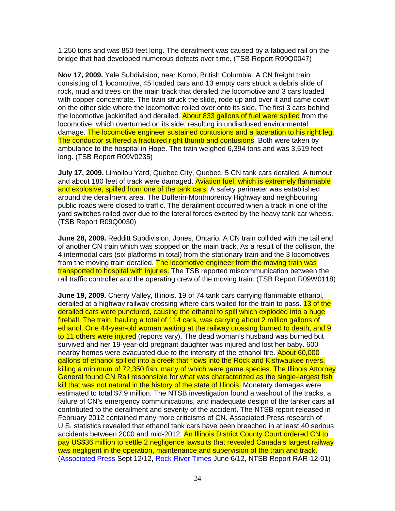1,250 tons and was 850 feet long. The derailment was caused by a fatigued rail on the bridge that had developed numerous defects over time. (TSB Report R09Q0047)

**Nov 17, 2009.** Yale Subdivision, near Komo, British Columbia. A CN freight train consisting of 1 locomotive, 45 loaded cars and 13 empty cars struck a debris slide of rock, mud and trees on the main track that derailed the locomotive and 3 cars loaded with copper concentrate. The train struck the slide, rode up and over it and came down on the other side where the locomotive rolled over onto its side. The first 3 cars behind the locomotive jackknifed and derailed. About 833 gallons of fuel were spilled from the locomotive, which overturned on its side, resulting in undisclosed environmental damage. The locomotive engineer sustained contusions and a laceration to his right leg. The conductor suffered a fractured right thumb and contusions. Both were taken by ambulance to the hospital in Hope. The train weighed 6,394 tons and was 3,519 feet long. (TSB Report R09V0235)

**July 17, 2009.** Limoilou Yard, Quebec City, Quebec. 5 CN tank cars derailed. A turnout and about 180 feet of track were damaged. Aviation fuel, which is extremely flammable and explosive, spilled from one of the tank cars. A safety perimeter was established around the derailment area. The Dufferin-Montmorency Highway and neighbouring public roads were closed to traffic. The derailment occurred when a track in one of the yard switches rolled over due to the lateral forces exerted by the heavy tank car wheels. (TSB Report R09Q0030)

**June 28, 2009.** Redditt Subdivision, Jones, Ontario. A CN train collided with the tail end of another CN train which was stopped on the main track. As a result of the collision, the 4 intermodal cars (six platforms in total) from the stationary train and the 3 locomotives from the moving train derailed. The locomotive engineer from the moving train was transported to hospital with injuries. The TSB reported miscommunication between the rail traffic controller and the operating crew of the moving train. (TSB Report R09W0118)

**June 19, 2009.** Cherry Valley, Illinois. 19 of 74 tank cars carrying flammable ethanol, derailed at a highway railway crossing where cars waited for the train to pass. 13 of the derailed cars were punctured, causing the ethanol to spill which exploded into a huge fireball. The train, hauling a total of 114 cars, was carrying about 2 million gallons of ethanol. One 44-year-old woman waiting at the railway crossing burned to death, and 9 to 11 others were injured (reports vary). The dead woman's husband was burned but survived and her 19-year-old pregnant daughter was injured and lost her baby. 600 nearby homes were evacuated due to the intensity of the ethanol fire. About 60,000 gallons of ethanol spilled into a creek that flows into the Rock and Kishwaukee rivers, killing a minimum of 72,350 fish, many of which were game species. The Illinois Attorney General found CN Rail responsible for what was characterized as the single-largest fish kill that was not natural in the history of the state of Illinois. Monetary damages were estimated to total \$7.9 million. The NTSB investigation found a washout of the tracks, a failure of CN's emergency communications, and inadequate design of the tanker cars all contributed to the derailment and severity of the accident. The NTSB report released in February 2012 contained many more criticisms of CN. Associated Press research of U.S. statistics revealed that ethanol tank cars have been breached in at least 40 serious accidents between 2000 and mid-2012. An Illinois District County Court ordered CN to pay US\$36 million to settle 2 negligence lawsuits that revealed Canada's largest railway was negligent in the operation, maintenance and supervision of the train and track. (Associated Press Sept 12/12, Rock River Times June 6/12, NTSB Report RAR-12-01)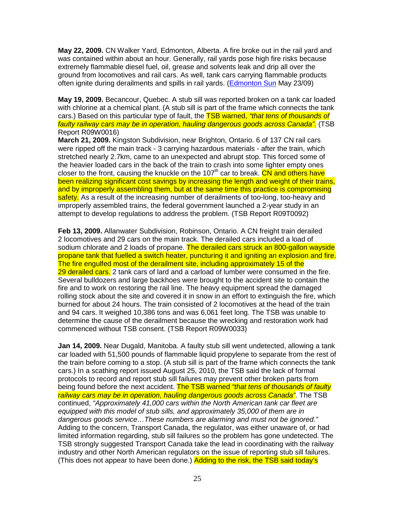**May 22, 2009.** CN Walker Yard, Edmonton, Alberta. A fire broke out in the rail yard and was contained within about an hour. Generally, rail yards pose high fire risks because extremely flammable diesel fuel, oil, grease and solvents leak and drip all over the ground from locomotives and rail cars. As well, tank cars carrying flammable products often ignite during derailments and spills in rail yards. (Edmonton Sun May 23/09)

**May 19, 2009.** Becancour, Quebec. A stub sill was reported broken on a tank car loaded with chlorine at a chemical plant. (A stub sill is part of the frame which connects the tank cars.) Based on this particular type of fault, the **TSB warned, "that tens of thousands of** faulty railway cars may be in operation, hauling dangerous goods across Canada". (TSB Report R09W0016)

**March 21, 2009.** Kingston Subdivision, near Brighton, Ontario. 6 of 137 CN rail cars were ripped off the main track - 3 carrying hazardous materials - after the train, which stretched nearly 2.7km, came to an unexpected and abrupt stop. This forced some of the heavier loaded cars in the back of the train to crash into some lighter empty ones closer to the front, causing the knuckle on the 107<sup>th</sup> car to break. CN and others have been realizing significant cost savings by increasing the length and weight of their trains, and by improperly assembling them, but at the same time this practice is compromising safety. As a result of the increasing number of derailments of too-long, too-heavy and improperly assembled trains, the federal government launched a 2-year study in an attempt to develop regulations to address the problem. (TSB Report R09T0092)

**Feb 13, 2009.** Allanwater Subdivision, Robinson, Ontario. A CN freight train derailed 2 locomotives and 29 cars on the main track. The derailed cars included a load of sodium chlorate and 2 loads of propane. The derailed cars struck an 800-gallon wayside propane tank that fuelled a switch heater, puncturing it and igniting an explosion and fire. The fire engulfed most of the derailment site, including approximately 15 of the 29 derailed cars. 2 tank cars of lard and a carload of lumber were consumed in the fire. Several bulldozers and large backhoes were brought to the accident site to contain the fire and to work on restoring the rail line. The heavy equipment spread the damaged rolling stock about the site and covered it in snow in an effort to extinguish the fire, which burned for about 24 hours. The train consisted of 2 locomotives at the head of the train and 94 cars. It weighed 10,386 tons and was 6,061 feet long. The TSB was unable to determine the cause of the derailment because the wrecking and restoration work had commenced without TSB consent. (TSB Report R09W0033)

**Jan 14, 2009.** Near Dugald, Manitoba. A faulty stub sill went undetected, allowing a tank car loaded with 51,500 pounds of flammable liquid propylene to separate from the rest of the train before coming to a stop. (A stub sill is part of the frame which connects the tank cars.) In a scathing report issued August 25, 2010, the TSB said the lack of formal protocols to record and report stub sill failures may prevent other broken parts from being found before the next accident. The TSB warned "that tens of thousands of faulty railway cars may be in operation, hauling dangerous goods across Canada". The TSB continued, "Approximately 41,000 cars within the North American tank car fleet are equipped with this model of stub sills, and approximately 35,000 of them are in dangerous goods service…These numbers are alarming and must not be ignored." Adding to the concern, Transport Canada, the regulator, was either unaware of, or had limited information regarding, stub sill failures so the problem has gone undetected. The TSB strongly suggested Transport Canada take the lead in coordinating with the railway industry and other North American regulators on the issue of reporting stub sill failures. (This does not appear to have been done.) Adding to the risk, the TSB said today's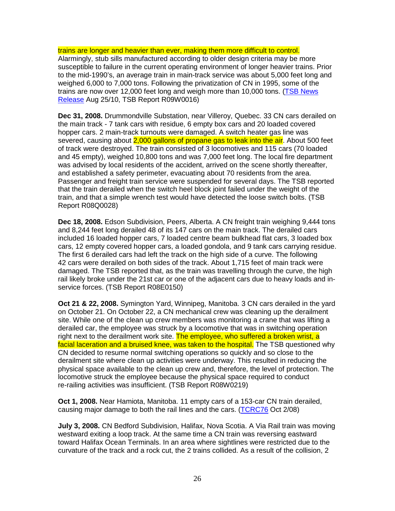trains are longer and heavier than ever, making them more difficult to control. Alarmingly, stub sills manufactured according to older design criteria may be more susceptible to failure in the current operating environment of longer heavier trains. Prior to the mid-1990's, an average train in main-track service was about 5,000 feet long and weighed 6,000 to 7,000 tons. Following the privatization of CN in 1995, some of the trains are now over 12,000 feet long and weigh more than 10,000 tons. (TSB News Release Aug 25/10, TSB Report R09W0016)

**Dec 31, 2008.** Drummondville Substation, near Villeroy, Quebec. 33 CN cars derailed on the main track - 7 tank cars with residue, 6 empty box cars and 20 loaded covered hopper cars. 2 main-track turnouts were damaged. A switch heater gas line was severed, causing about 2,000 gallons of propane gas to leak into the air. About 500 feet of track were destroyed. The train consisted of 3 locomotives and 115 cars (70 loaded and 45 empty), weighed 10,800 tons and was 7,000 feet long. The local fire department was advised by local residents of the accident, arrived on the scene shortly thereafter, and established a safety perimeter, evacuating about 70 residents from the area. Passenger and freight train service were suspended for several days. The TSB reported that the train derailed when the switch heel block joint failed under the weight of the train, and that a simple wrench test would have detected the loose switch bolts. (TSB Report R08Q0028)

**Dec 18, 2008.** Edson Subdivision, Peers, Alberta. A CN freight train weighing 9,444 tons and 8,244 feet long derailed 48 of its 147 cars on the main track. The derailed cars included 16 loaded hopper cars, 7 loaded centre beam bulkhead flat cars, 3 loaded box cars, 12 empty covered hopper cars, a loaded gondola, and 9 tank cars carrying residue. The first 6 derailed cars had left the track on the high side of a curve. The following 42 cars were derailed on both sides of the track. About 1,715 feet of main track were damaged. The TSB reported that, as the train was travelling through the curve, the high rail likely broke under the 21st car or one of the adjacent cars due to heavy loads and inservice forces. (TSB Report R08E0150)

**Oct 21 & 22, 2008.** Symington Yard, Winnipeg, Manitoba. 3 CN cars derailed in the yard on October 21. On October 22, a CN mechanical crew was cleaning up the derailment site. While one of the clean up crew members was monitoring a crane that was lifting a derailed car, the employee was struck by a locomotive that was in switching operation right next to the derailment work site. The employee, who suffered a broken wrist, a facial laceration and a bruised knee, was taken to the hospital. The TSB questioned why CN decided to resume normal switching operations so quickly and so close to the derailment site where clean up activities were underway. This resulted in reducing the physical space available to the clean up crew and, therefore, the level of protection. The locomotive struck the employee because the physical space required to conduct re-railing activities was insufficient. (TSB Report R08W0219)

**Oct 1, 2008.** Near Hamiota, Manitoba. 11 empty cars of a 153-car CN train derailed, causing major damage to both the rail lines and the cars. (TCRC76 Oct 2/08)

**July 3, 2008.** CN Bedford Subdivision, Halifax, Nova Scotia. A Via Rail train was moving westward exiting a loop track. At the same time a CN train was reversing eastward toward Halifax Ocean Terminals. In an area where sightlines were restricted due to the curvature of the track and a rock cut, the 2 trains collided. As a result of the collision, 2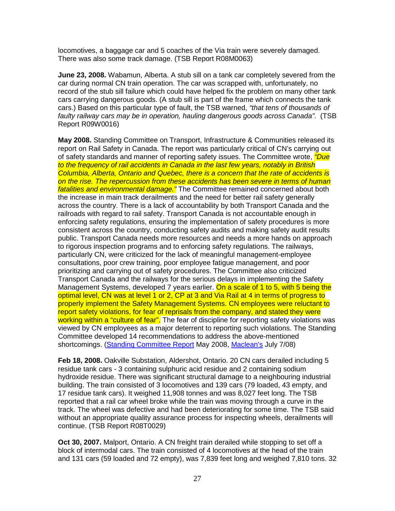locomotives, a baggage car and 5 coaches of the Via train were severely damaged. There was also some track damage. (TSB Report R08M0063)

**June 23, 2008.** Wabamun, Alberta. A stub sill on a tank car completely severed from the car during normal CN train operation. The car was scrapped with, unfortunately, no record of the stub sill failure which could have helped fix the problem on many other tank cars carrying dangerous goods. (A stub sill is part of the frame which connects the tank cars.) Based on this particular type of fault, the TSB warned, "that tens of thousands of faulty railway cars may be in operation, hauling dangerous goods across Canada". (TSB Report R09W0016)

**May 2008.** Standing Committee on Transport, Infrastructure & Communities released its report on Rail Safety in Canada. The report was particularly critical of CN's carrying out of safety standards and manner of reporting safety issues. The Committee wrote, *"Due* to the frequency of rail accidents in Canada in the last few years, notably in British Columbia, Alberta, Ontario and Quebec, there is a concern that the rate of accidents is on the rise. The repercussion from these accidents has been severe in terms of human fatalities and environmental damage." The Committee remained concerned about both the increase in main track derailments and the need for better rail safety generally across the country. There is a lack of accountability by both Transport Canada and the railroads with regard to rail safety. Transport Canada is not accountable enough in enforcing safety regulations, ensuring the implementation of safety procedures is more consistent across the country, conducting safety audits and making safety audit results public. Transport Canada needs more resources and needs a more hands on approach to rigorous inspection programs and to enforcing safety regulations. The railways, particularly CN, were criticized for the lack of meaningful management-employee consultations, poor crew training, poor employee fatigue management, and poor prioritizing and carrying out of safety procedures. The Committee also criticized Transport Canada and the railways for the serious delays in implementing the Safety Management Systems, developed 7 years earlier. On a scale of 1 to 5, with 5 being the optimal level, CN was at level 1 or 2, CP at 3 and Via Rail at 4 in terms of progress to properly implement the Safety Management Systems. CN employees were reluctant to report safety violations, for fear of reprisals from the company, and stated they were working within a "culture of fear". The fear of discipline for reporting safety violations was viewed by CN employees as a major deterrent to reporting such violations. The Standing Committee developed 14 recommendations to address the above-mentioned shortcomings. (Standing Committee Report May 2008, Maclean's July 7/08)

**Feb 18, 2008.** Oakville Substation, Aldershot, Ontario. 20 CN cars derailed including 5 residue tank cars - 3 containing sulphuric acid residue and 2 containing sodium hydroxide residue. There was significant structural damage to a neighbouring industrial building. The train consisted of 3 locomotives and 139 cars (79 loaded, 43 empty, and 17 residue tank cars). It weighed 11,908 tonnes and was 8,027 feet long. The TSB reported that a rail car wheel broke while the train was moving through a curve in the track. The wheel was defective and had been deteriorating for some time. The TSB said without an appropriate quality assurance process for inspecting wheels, derailments will continue. (TSB Report R08T0029)

**Oct 30, 2007.** Malport, Ontario. A CN freight train derailed while stopping to set off a block of intermodal cars. The train consisted of 4 locomotives at the head of the train and 131 cars (59 loaded and 72 empty), was 7,839 feet long and weighed 7,810 tons. 32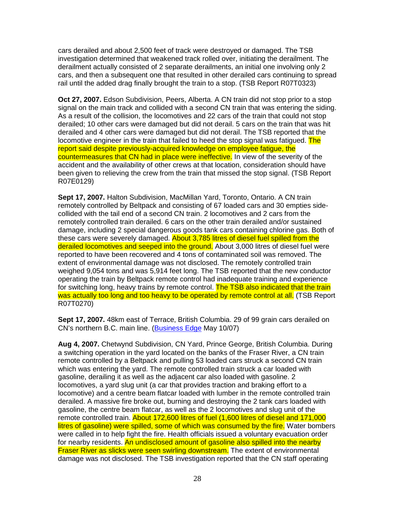cars derailed and about 2,500 feet of track were destroyed or damaged. The TSB investigation determined that weakened track rolled over, initiating the derailment. The derailment actually consisted of 2 separate derailments, an initial one involving only 2 cars, and then a subsequent one that resulted in other derailed cars continuing to spread rail until the added drag finally brought the train to a stop. (TSB Report R07T0323)

**Oct 27, 2007.** Edson Subdivision, Peers, Alberta. A CN train did not stop prior to a stop signal on the main track and collided with a second CN train that was entering the siding. As a result of the collision, the locomotives and 22 cars of the train that could not stop derailed; 10 other cars were damaged but did not derail. 5 cars on the train that was hit derailed and 4 other cars were damaged but did not derail. The TSB reported that the locomotive engineer in the train that failed to heed the stop signal was fatigued. The report said despite previously-acquired knowledge on employee fatigue, the countermeasures that CN had in place were ineffective. In view of the severity of the accident and the availability of other crews at that location, consideration should have been given to relieving the crew from the train that missed the stop signal. (TSB Report R07E0129)

**Sept 17, 2007.** Halton Subdivision, MacMillan Yard, Toronto, Ontario. A CN train remotely controlled by Beltpack and consisting of 67 loaded cars and 30 empties sidecollided with the tail end of a second CN train. 2 locomotives and 2 cars from the remotely controlled train derailed. 6 cars on the other train derailed and/or sustained damage, including 2 special dangerous goods tank cars containing chlorine gas. Both of these cars were severely damaged. About 3,785 litres of diesel fuel spilled from the derailed locomotives and seeped into the ground. About 3,000 litres of diesel fuel were reported to have been recovered and 4 tons of contaminated soil was removed. The extent of environmental damage was not disclosed. The remotely controlled train weighed 9,054 tons and was 5,914 feet long. The TSB reported that the new conductor operating the train by Beltpack remote control had inadequate training and experience for switching long, heavy trains by remote control. The TSB also indicated that the train was actually too long and too heavy to be operated by remote control at all. (TSB Report R07T0270)

**Sept 17, 2007.** 48km east of Terrace, British Columbia. 29 of 99 grain cars derailed on CN's northern B.C. main line. (Business Edge May 10/07)

**Aug 4, 2007.** Chetwynd Subdivision, CN Yard, Prince George, British Columbia. During a switching operation in the yard located on the banks of the Fraser River, a CN train remote controlled by a Beltpack and pulling 53 loaded cars struck a second CN train which was entering the yard. The remote controlled train struck a car loaded with gasoline, derailing it as well as the adjacent car also loaded with gasoline. 2 locomotives, a yard slug unit (a car that provides traction and braking effort to a locomotive) and a centre beam flatcar loaded with lumber in the remote controlled train derailed. A massive fire broke out, burning and destroying the 2 tank cars loaded with gasoline, the centre beam flatcar, as well as the 2 locomotives and slug unit of the remote controlled train. About 172,600 litres of fuel (1,600 litres of diesel and 171,000 litres of gasoline) were spilled, some of which was consumed by the fire. Water bombers were called in to help fight the fire. Health officials issued a voluntary evacuation order for nearby residents. An undisclosed amount of gasoline also spilled into the nearby **Fraser River as slicks were seen swirling downstream.** The extent of environmental damage was not disclosed. The TSB investigation reported that the CN staff operating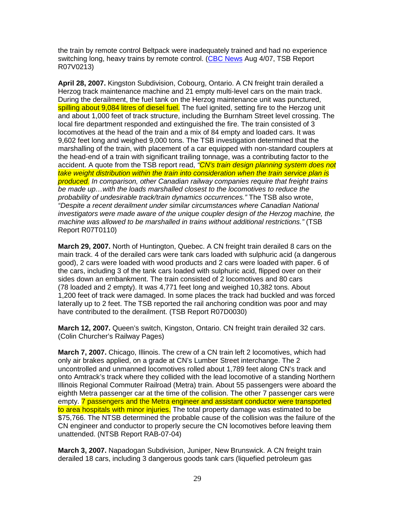the train by remote control Beltpack were inadequately trained and had no experience switching long, heavy trains by remote control. (CBC News Aug 4/07, TSB Report R07V0213)

**April 28, 2007.** Kingston Subdivision, Cobourg, Ontario. A CN freight train derailed a Herzog track maintenance machine and 21 empty multi-level cars on the main track. During the derailment, the fuel tank on the Herzog maintenance unit was punctured, spilling about 9,084 litres of diesel fuel. The fuel ignited, setting fire to the Herzog unit and about 1,000 feet of track structure, including the Burnham Street level crossing. The local fire department responded and extinguished the fire. The train consisted of 3 locomotives at the head of the train and a mix of 84 empty and loaded cars. It was 9,602 feet long and weighed 9,000 tons. The TSB investigation determined that the marshalling of the train, with placement of a car equipped with non-standard couplers at the head-end of a train with significant trailing tonnage, was a contributing factor to the accident. A quote from the TSB report read, "CN's train design planning system does not take weight distribution within the train into consideration when the train service plan is produced. In comparison, other Canadian railway companies require that freight trains be made up…with the loads marshalled closest to the locomotives to reduce the probability of undesirable track/train dynamics occurrences." The TSB also wrote, "Despite a recent derailment under similar circumstances where Canadian National investigators were made aware of the unique coupler design of the Herzog machine, the machine was allowed to be marshalled in trains without additional restrictions." (TSB Report R07T0110)

**March 29, 2007.** North of Huntington, Quebec. A CN freight train derailed 8 cars on the main track. 4 of the derailed cars were tank cars loaded with sulphuric acid (a dangerous good), 2 cars were loaded with wood products and 2 cars were loaded with paper. 6 of the cars, including 3 of the tank cars loaded with sulphuric acid, flipped over on their sides down an embankment. The train consisted of 2 locomotives and 80 cars (78 loaded and 2 empty). It was 4,771 feet long and weighed 10,382 tons. About 1,200 feet of track were damaged. In some places the track had buckled and was forced laterally up to 2 feet. The TSB reported the rail anchoring condition was poor and may have contributed to the derailment. (TSB Report R07D0030)

**March 12, 2007.** Queen's switch, Kingston, Ontario. CN freight train derailed 32 cars. (Colin Churcher's Railway Pages)

**March 7, 2007.** Chicago, Illinois. The crew of a CN train left 2 locomotives, which had only air brakes applied, on a grade at CN's Lumber Street interchange. The 2 uncontrolled and unmanned locomotives rolled about 1,789 feet along CN's track and onto Amtrack's track where they collided with the lead locomotive of a standing Northern Illinois Regional Commuter Railroad (Metra) train. About 55 passengers were aboard the eighth Metra passenger car at the time of the collision. The other 7 passenger cars were empty. **7** passengers and the Metra engineer and assistant conductor were transported to area hospitals with minor injuries. The total property damage was estimated to be \$75,766. The NTSB determined the probable cause of the collision was the failure of the CN engineer and conductor to properly secure the CN locomotives before leaving them unattended. (NTSB Report RAB-07-04)

**March 3, 2007.** Napadogan Subdivision, Juniper, New Brunswick. A CN freight train derailed 18 cars, including 3 dangerous goods tank cars (liquefied petroleum gas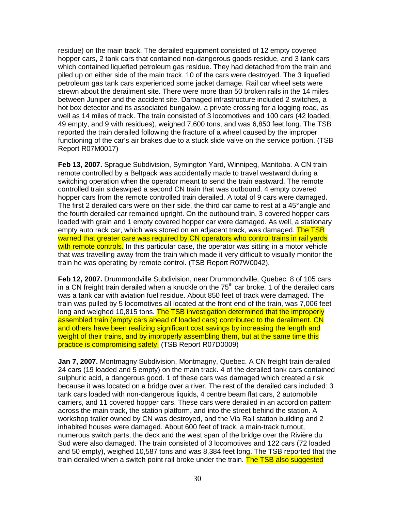residue) on the main track. The derailed equipment consisted of 12 empty covered hopper cars, 2 tank cars that contained non-dangerous goods residue, and 3 tank cars which contained liquefied petroleum gas residue. They had detached from the train and piled up on either side of the main track. 10 of the cars were destroyed. The 3 liquefied petroleum gas tank cars experienced some jacket damage. Rail car wheel sets were strewn about the derailment site. There were more than 50 broken rails in the 14 miles between Juniper and the accident site. Damaged infrastructure included 2 switches, a hot box detector and its associated bungalow, a private crossing for a logging road, as well as 14 miles of track. The train consisted of 3 locomotives and 100 cars (42 loaded, 49 empty, and 9 with residues), weighed 7,600 tons, and was 6,850 feet long. The TSB reported the train derailed following the fracture of a wheel caused by the improper functioning of the car's air brakes due to a stuck slide valve on the service portion. (TSB Report R07M0017)

**Feb 13, 2007.** Sprague Subdivision, Symington Yard, Winnipeg, Manitoba. A CN train remote controlled by a Beltpack was accidentally made to travel westward during a switching operation when the operator meant to send the train eastward. The remote controlled train sideswiped a second CN train that was outbound. 4 empty covered hopper cars from the remote controlled train derailed. A total of 9 cars were damaged. The first 2 derailed cars were on their side, the third car came to rest at a 45° angle and the fourth derailed car remained upright. On the outbound train, 3 covered hopper cars loaded with grain and 1 empty covered hopper car were damaged. As well, a stationary empty auto rack car, which was stored on an adjacent track, was damaged. The TSB warned that greater care was required by CN operators who control trains in rail yards with remote controls. In this particular case, the operator was sitting in a motor vehicle that was travelling away from the train which made it very difficult to visually monitor the train he was operating by remote control. (TSB Report R07W0042).

**Feb 12, 2007.** Drummondville Subdivision, near Drummondville, Quebec. 8 of 105 cars in a CN freight train derailed when a knuckle on the  $75<sup>th</sup>$  car broke. 1 of the derailed cars was a tank car with aviation fuel residue. About 850 feet of track were damaged. The train was pulled by 5 locomotives all located at the front end of the train, was 7,006 feet long and weighed 10,815 tons. The TSB investigation determined that the improperly assembled train (empty cars ahead of loaded cars) contributed to the derailment. CN and others have been realizing significant cost savings by increasing the length and weight of their trains, and by improperly assembling them, but at the same time this practice is compromising safety. (TSB Report R07D0009)

**Jan 7, 2007.** Montmagny Subdivision, Montmagny, Quebec. A CN freight train derailed 24 cars (19 loaded and 5 empty) on the main track. 4 of the derailed tank cars contained sulphuric acid, a dangerous good. 1 of these cars was damaged which created a risk because it was located on a bridge over a river. The rest of the derailed cars included: 3 tank cars loaded with non-dangerous liquids, 4 centre beam flat cars, 2 automobile carriers, and 11 covered hopper cars. These cars were derailed in an accordion pattern across the main track, the station platform, and into the street behind the station. A workshop trailer owned by CN was destroyed, and the Via Rail station building and 2 inhabited houses were damaged. About 600 feet of track, a main-track turnout, numerous switch parts, the deck and the west span of the bridge over the Rivière du Sud were also damaged. The train consisted of 3 locomotives and 122 cars (72 loaded and 50 empty), weighed 10,587 tons and was 8,384 feet long. The TSB reported that the train derailed when a switch point rail broke under the train. The TSB also suggested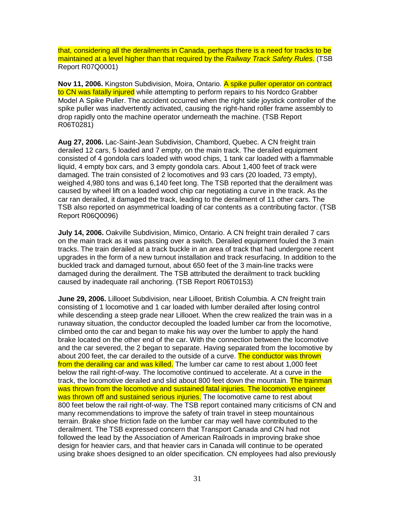that, considering all the derailments in Canada, perhaps there is a need for tracks to be maintained at a level higher than that required by the Railway Track Safety Rules. (TSB Report R07Q0001)

**Nov 11, 2006.** Kingston Subdivision, Moira, Ontario. A spike puller operator on contract to CN was fatally injured while attempting to perform repairs to his Nordco Grabber Model A Spike Puller. The accident occurred when the right side joystick controller of the spike puller was inadvertently activated, causing the right-hand roller frame assembly to drop rapidly onto the machine operator underneath the machine. (TSB Report R06T0281)

**Aug 27, 2006.** Lac-Saint-Jean Subdivision, Chambord, Quebec. A CN freight train derailed 12 cars, 5 loaded and 7 empty, on the main track. The derailed equipment consisted of 4 gondola cars loaded with wood chips, 1 tank car loaded with a flammable liquid, 4 empty box cars, and 3 empty gondola cars. About 1,400 feet of track were damaged. The train consisted of 2 locomotives and 93 cars (20 loaded, 73 empty), weighed 4,980 tons and was 6,140 feet long. The TSB reported that the derailment was caused by wheel lift on a loaded wood chip car negotiating a curve in the track. As the car ran derailed, it damaged the track, leading to the derailment of 11 other cars. The TSB also reported on asymmetrical loading of car contents as a contributing factor. (TSB Report R06Q0096)

**July 14, 2006.** Oakville Subdivision, Mimico, Ontario. A CN freight train derailed 7 cars on the main track as it was passing over a switch. Derailed equipment fouled the 3 main tracks. The train derailed at a track buckle in an area of track that had undergone recent upgrades in the form of a new turnout installation and track resurfacing. In addition to the buckled track and damaged turnout, about 650 feet of the 3 main-line tracks were damaged during the derailment. The TSB attributed the derailment to track buckling caused by inadequate rail anchoring. (TSB Report R06T0153)

**June 29, 2006.** Lillooet Subdivision, near Lillooet, British Columbia. A CN freight train consisting of 1 locomotive and 1 car loaded with lumber derailed after losing control while descending a steep grade near Lillooet. When the crew realized the train was in a runaway situation, the conductor decoupled the loaded lumber car from the locomotive, climbed onto the car and began to make his way over the lumber to apply the hand brake located on the other end of the car. With the connection between the locomotive and the car severed, the 2 began to separate. Having separated from the locomotive by about 200 feet, the car derailed to the outside of a curve. The conductor was thrown from the derailing car and was killed. The lumber car came to rest about 1,000 feet below the rail right-of-way. The locomotive continued to accelerate. At a curve in the track, the locomotive derailed and slid about 800 feet down the mountain. The trainman was thrown from the locomotive and sustained fatal injuries. The locomotive engineer was thrown off and sustained serious injuries. The locomotive came to rest about 800 feet below the rail right-of-way. The TSB report contained many criticisms of CN and many recommendations to improve the safety of train travel in steep mountainous terrain. Brake shoe friction fade on the lumber car may well have contributed to the derailment. The TSB expressed concern that Transport Canada and CN had not followed the lead by the Association of American Railroads in improving brake shoe design for heavier cars, and that heavier cars in Canada will continue to be operated using brake shoes designed to an older specification. CN employees had also previously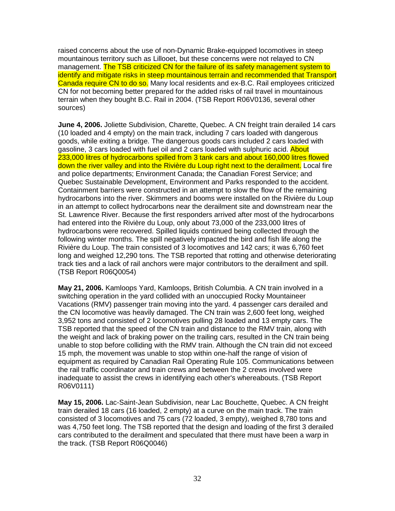raised concerns about the use of non-Dynamic Brake-equipped locomotives in steep mountainous territory such as Lillooet, but these concerns were not relayed to CN management. The TSB criticized CN for the failure of its safety management system to identify and mitigate risks in steep mountainous terrain and recommended that Transport Canada require CN to do so. Many local residents and ex-B.C. Rail employees criticized CN for not becoming better prepared for the added risks of rail travel in mountainous terrain when they bought B.C. Rail in 2004. (TSB Report R06V0136, several other sources)

**June 4, 2006.** Joliette Subdivision, Charette, Quebec. A CN freight train derailed 14 cars (10 loaded and 4 empty) on the main track, including 7 cars loaded with dangerous goods, while exiting a bridge. The dangerous goods cars included 2 cars loaded with gasoline, 3 cars loaded with fuel oil and 2 cars loaded with sulphuric acid. About 233,000 litres of hydrocarbons spilled from 3 tank cars and about 160,000 litres flowed down the river valley and into the Rivière du Loup right next to the derailment. Local fire and police departments; Environment Canada; the Canadian Forest Service; and Quebec Sustainable Development, Environment and Parks responded to the accident. Containment barriers were constructed in an attempt to slow the flow of the remaining hydrocarbons into the river. Skimmers and booms were installed on the Rivière du Loup in an attempt to collect hydrocarbons near the derailment site and downstream near the St. Lawrence River. Because the first responders arrived after most of the hydrocarbons had entered into the Rivière du Loup, only about 73,000 of the 233,000 litres of hydrocarbons were recovered. Spilled liquids continued being collected through the following winter months. The spill negatively impacted the bird and fish life along the Rivière du Loup. The train consisted of 3 locomotives and 142 cars; it was 6,760 feet long and weighed 12,290 tons. The TSB reported that rotting and otherwise deteriorating track ties and a lack of rail anchors were major contributors to the derailment and spill. (TSB Report R06Q0054)

**May 21, 2006.** Kamloops Yard, Kamloops, British Columbia. A CN train involved in a switching operation in the yard collided with an unoccupied Rocky Mountaineer Vacations (RMV) passenger train moving into the yard. 4 passenger cars derailed and the CN locomotive was heavily damaged. The CN train was 2,600 feet long, weighed 3,952 tons and consisted of 2 locomotives pulling 28 loaded and 13 empty cars. The TSB reported that the speed of the CN train and distance to the RMV train, along with the weight and lack of braking power on the trailing cars, resulted in the CN train being unable to stop before colliding with the RMV train. Although the CN train did not exceed 15 mph, the movement was unable to stop within one-half the range of vision of equipment as required by Canadian Rail Operating Rule 105. Communications between the rail traffic coordinator and train crews and between the 2 crews involved were inadequate to assist the crews in identifying each other's whereabouts. (TSB Report R06V0111)

**May 15, 2006.** Lac-Saint-Jean Subdivision, near Lac Bouchette, Quebec. A CN freight train derailed 18 cars (16 loaded, 2 empty) at a curve on the main track. The train consisted of 3 locomotives and 75 cars (72 loaded, 3 empty), weighed 8,780 tons and was 4,750 feet long. The TSB reported that the design and loading of the first 3 derailed cars contributed to the derailment and speculated that there must have been a warp in the track. (TSB Report R06Q0046)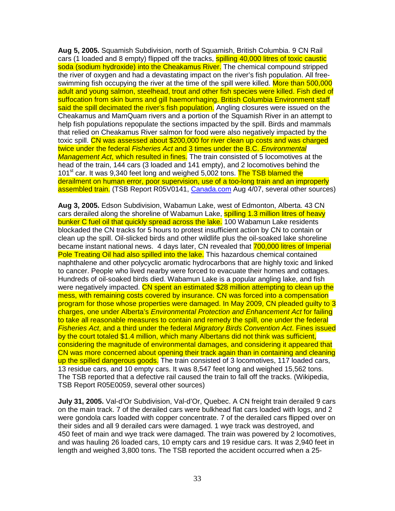**Aug 5, 2005.** Squamish Subdivision, north of Squamish, British Columbia. 9 CN Rail cars (1 loaded and 8 empty) flipped off the tracks, **spilling 40,000 litres of toxic caustic** soda (sodium hydroxide) into the Cheakamus River. The chemical compound stripped the river of oxygen and had a devastating impact on the river's fish population. All freeswimming fish occupying the river at the time of the spill were killed. More than 500,000 adult and young salmon, steelhead, trout and other fish species were killed. Fish died of suffocation from skin burns and gill haemorrhaging. British Columbia Environment staff said the spill decimated the river's fish population. Angling closures were issued on the Cheakamus and MamQuam rivers and a portion of the Squamish River in an attempt to help fish populations repopulate the sections impacted by the spill. Birds and mammals that relied on Cheakamus River salmon for food were also negatively impacted by the toxic spill. CN was assessed about \$200,000 for river clean up costs and was charged twice under the federal Fisheries Act and 3 times under the B.C. Environmental Management Act, which resulted in fines. The train consisted of 5 locomotives at the head of the train, 144 cars (3 loaded and 141 empty), and 2 locomotives behind the 101<sup>st</sup> car. It was 9,340 feet long and weighed 5,002 tons. The TSB blamed the derailment on human error, poor supervision, use of a too-long train and an improperly assembled train. (TSB Report R05V0141, Canada.com Aug 4/07, several other sources)

**Aug 3, 2005.** Edson Subdivision, Wabamun Lake, west of Edmonton, Alberta. 43 CN cars derailed along the shoreline of Wabamun Lake, spilling 1.3 million litres of heavy bunker C fuel oil that quickly spread across the lake. 100 Wabamun Lake residents blockaded the CN tracks for 5 hours to protest insufficient action by CN to contain or clean up the spill. Oil-slicked birds and other wildlife plus the oil-soaked lake shoreline became instant national news. 4 days later, CN revealed that 700,000 litres of Imperial Pole Treating Oil had also spilled into the lake. This hazardous chemical contained naphthalene and other polycyclic aromatic hydrocarbons that are highly toxic and linked to cancer. People who lived nearby were forced to evacuate their homes and cottages. Hundreds of oil-soaked birds died. Wabamun Lake is a popular angling lake, and fish were negatively impacted. CN spent an estimated \$28 million attempting to clean up the mess, with remaining costs covered by insurance. CN was forced into a compensation program for those whose properties were damaged. In May 2009, CN pleaded guilty to 3 charges, one under Alberta's Environmental Protection and Enhancement Act for failing to take all reasonable measures to contain and remedy the spill, one under the federal Fisheries Act, and a third under the federal Migratory Birds Convention Act. Fines issued by the court totaled \$1.4 million, which many Albertans did not think was sufficient, considering the magnitude of environmental damages, and considering it appeared that CN was more concerned about opening their track again than in containing and cleaning up the spilled dangerous goods. The train consisted of 3 locomotives, 117 loaded cars, 13 residue cars, and 10 empty cars. It was 8,547 feet long and weighed 15,562 tons. The TSB reported that a defective rail caused the train to fall off the tracks. (Wikipedia, TSB Report R05E0059, several other sources)

**July 31, 2005.** Val-d'Or Subdivision, Val-d'Or, Quebec. A CN freight train derailed 9 cars on the main track. 7 of the derailed cars were bulkhead flat cars loaded with logs, and 2 were gondola cars loaded with copper concentrate. 7 of the derailed cars flipped over on their sides and all 9 derailed cars were damaged. 1 wye track was destroyed, and 450 feet of main and wye track were damaged. The train was powered by 2 locomotives, and was hauling 26 loaded cars, 10 empty cars and 19 residue cars. It was 2,940 feet in length and weighed 3,800 tons. The TSB reported the accident occurred when a 25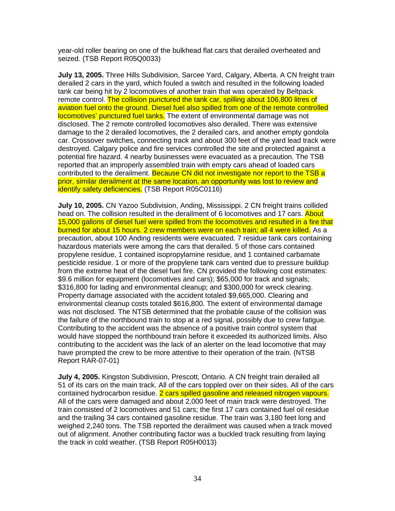year-old roller bearing on one of the bulkhead flat cars that derailed overheated and seized. (TSB Report R05Q0033)

**July 13, 2005.** Three Hills Subdivision, Sarcee Yard, Calgary, Alberta. A CN freight train derailed 2 cars in the yard, which fouled a switch and resulted in the following loaded tank car being hit by 2 locomotives of another train that was operated by Beltpack remote control. The collision punctured the tank car, spilling about 106,800 litres of aviation fuel onto the ground. Diesel fuel also spilled from one of the remote controlled locomotives' punctured fuel tanks. The extent of environmental damage was not disclosed. The 2 remote controlled locomotives also derailed. There was extensive damage to the 2 derailed locomotives, the 2 derailed cars, and another empty gondola car. Crossover switches, connecting track and about 300 feet of the yard lead track were destroyed. Calgary police and fire services controlled the site and protected against a potential fire hazard. 4 nearby businesses were evacuated as a precaution. The TSB reported that an improperly assembled train with empty cars ahead of loaded cars contributed to the derailment. Because CN did not investigate nor report to the TSB a prior, similar derailment at the same location, an opportunity was lost to review and identify safety deficiencies. (TSB Report R05C0116)

**July 10, 2005.** CN Yazoo Subdivision, Anding, Mississippi. 2 CN freight trains collided head on. The collision resulted in the derailment of 6 locomotives and 17 cars. About 15,000 gallons of diesel fuel were spilled from the locomotives and resulted in a fire that burned for about 15 hours. 2 crew members were on each train; all 4 were killed. As a precaution, about 100 Anding residents were evacuated. 7 residue tank cars containing hazardous materials were among the cars that derailed. 5 of those cars contained propylene residue, 1 contained isopropylamine residue, and 1 contained carbamate pesticide residue. 1 or more of the propylene tank cars vented due to pressure buildup from the extreme heat of the diesel fuel fire. CN provided the following cost estimates: \$9.6 million for equipment (locomotives and cars); \$65,000 for track and signals; \$316,800 for lading and environmental cleanup; and \$300,000 for wreck clearing. Property damage associated with the accident totaled \$9,665,000. Clearing and environmental cleanup costs totaled \$616,800. The extent of environmental damage was not disclosed. The NTSB determined that the probable cause of the collision was the failure of the northbound train to stop at a red signal, possibly due to crew fatigue. Contributing to the accident was the absence of a positive train control system that would have stopped the northbound train before it exceeded its authorized limits. Also contributing to the accident was the lack of an alerter on the lead locomotive that may have prompted the crew to be more attentive to their operation of the train. (NTSB Report RAR-07-01)

**July 4, 2005.** Kingston Subdivision, Prescott, Ontario. A CN freight train derailed all 51 of its cars on the main track. All of the cars toppled over on their sides. All of the cars contained hydrocarbon residue. 2 cars spilled gasoline and released nitrogen vapours. All of the cars were damaged and about 2,000 feet of main track were destroyed. The train consisted of 2 locomotives and 51 cars; the first 17 cars contained fuel oil residue and the trailing 34 cars contained gasoline residue. The train was 3,180 feet long and weighed 2,240 tons. The TSB reported the derailment was caused when a track moved out of alignment. Another contributing factor was a buckled track resulting from laying the track in cold weather. (TSB Report R05H0013)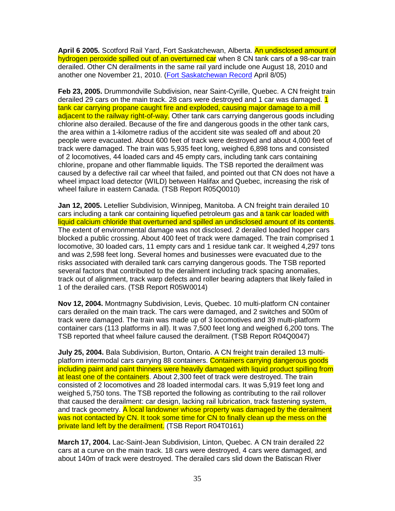**April 6 2005.** Scotford Rail Yard, Fort Saskatchewan, Alberta. An undisclosed amount of hydrogen peroxide spilled out of an overturned car when 8 CN tank cars of a 98-car train derailed. Other CN derailments in the same rail yard include one August 18, 2010 and another one November 21, 2010. (Fort Saskatchewan Record April 8/05)

**Feb 23, 2005.** Drummondville Subdivision, near Saint-Cyrille, Quebec. A CN freight train derailed 29 cars on the main track. 28 cars were destroyed and 1 car was damaged. 1 tank car carrying propane caught fire and exploded, causing major damage to a mill adjacent to the railway right-of-way. Other tank cars carrying dangerous goods including chlorine also derailed. Because of the fire and dangerous goods in the other tank cars, the area within a 1-kilometre radius of the accident site was sealed off and about 20 people were evacuated. About 600 feet of track were destroyed and about 4,000 feet of track were damaged. The train was 5,935 feet long, weighed 6,898 tons and consisted of 2 locomotives, 44 loaded cars and 45 empty cars, including tank cars containing chlorine, propane and other flammable liquids. The TSB reported the derailment was caused by a defective rail car wheel that failed, and pointed out that CN does not have a wheel impact load detector (WILD) between Halifax and Quebec, increasing the risk of wheel failure in eastern Canada. (TSB Report R05Q0010)

**Jan 12, 2005.** Letellier Subdivision, Winnipeg, Manitoba. A CN freight train derailed 10 cars including a tank car containing liquefied petroleum gas and a tank car loaded with liquid calcium chloride that overturned and spilled an undisclosed amount of its contents. The extent of environmental damage was not disclosed. 2 derailed loaded hopper cars blocked a public crossing. About 400 feet of track were damaged. The train comprised 1 locomotive, 30 loaded cars, 11 empty cars and 1 residue tank car. It weighed 4,297 tons and was 2,598 feet long. Several homes and businesses were evacuated due to the risks associated with derailed tank cars carrying dangerous goods. The TSB reported several factors that contributed to the derailment including track spacing anomalies, track out of alignment, track warp defects and roller bearing adapters that likely failed in 1 of the derailed cars. (TSB Report R05W0014)

**Nov 12, 2004.** Montmagny Subdivision, Levis, Quebec. 10 multi-platform CN container cars derailed on the main track. The cars were damaged, and 2 switches and 500m of track were damaged. The train was made up of 3 locomotives and 39 multi-platform container cars (113 platforms in all). It was 7,500 feet long and weighed 6,200 tons. The TSB reported that wheel failure caused the derailment. (TSB Report R04Q0047)

**July 25, 2004.** Bala Subdivision, Burton, Ontario. A CN freight train derailed 13 multiplatform intermodal cars carrying 88 containers. Containers carrying dangerous goods including paint and paint thinners were heavily damaged with liquid product spilling from at least one of the containers. About 2,300 feet of track were destroyed. The train consisted of 2 locomotives and 28 loaded intermodal cars. It was 5,919 feet long and weighed 5,750 tons. The TSB reported the following as contributing to the rail rollover that caused the derailment: car design, lacking rail lubrication, track fastening system, and track geometry. A local landowner whose property was damaged by the derailment was not contacted by CN. It took some time for CN to finally clean up the mess on the private land left by the derailment. (TSB Report R04T0161)

**March 17, 2004.** Lac-Saint-Jean Subdivision, Linton, Quebec. A CN train derailed 22 cars at a curve on the main track. 18 cars were destroyed, 4 cars were damaged, and about 140m of track were destroyed. The derailed cars slid down the Batiscan River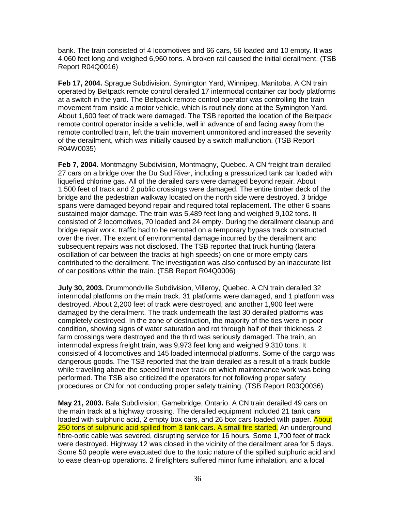bank. The train consisted of 4 locomotives and 66 cars, 56 loaded and 10 empty. It was 4,060 feet long and weighed 6,960 tons. A broken rail caused the initial derailment. (TSB Report R04Q0016)

**Feb 17, 2004.** Sprague Subdivision, Symington Yard, Winnipeg, Manitoba. A CN train operated by Beltpack remote control derailed 17 intermodal container car body platforms at a switch in the yard. The Beltpack remote control operator was controlling the train movement from inside a motor vehicle, which is routinely done at the Symington Yard. About 1,600 feet of track were damaged. The TSB reported the location of the Beltpack remote control operator inside a vehicle, well in advance of and facing away from the remote controlled train, left the train movement unmonitored and increased the severity of the derailment, which was initially caused by a switch malfunction. (TSB Report R04W0035)

**Feb 7, 2004.** Montmagny Subdivision, Montmagny, Quebec. A CN freight train derailed 27 cars on a bridge over the Du Sud River, including a pressurized tank car loaded with liquefied chlorine gas. All of the derailed cars were damaged beyond repair. About 1,500 feet of track and 2 public crossings were damaged. The entire timber deck of the bridge and the pedestrian walkway located on the north side were destroyed. 3 bridge spans were damaged beyond repair and required total replacement. The other 6 spans sustained major damage. The train was 5,489 feet long and weighed 9,102 tons. It consisted of 2 locomotives, 70 loaded and 24 empty. During the derailment cleanup and bridge repair work, traffic had to be rerouted on a temporary bypass track constructed over the river. The extent of environmental damage incurred by the derailment and subsequent repairs was not disclosed. The TSB reported that truck hunting (lateral oscillation of car between the tracks at high speeds) on one or more empty cars contributed to the derailment. The investigation was also confused by an inaccurate list of car positions within the train. (TSB Report R04Q0006)

**July 30, 2003.** Drummondville Subdivision, Villeroy, Quebec. A CN train derailed 32 intermodal platforms on the main track. 31 platforms were damaged, and 1 platform was destroyed. About 2,200 feet of track were destroyed, and another 1,900 feet were damaged by the derailment. The track underneath the last 30 derailed platforms was completely destroyed. In the zone of destruction, the majority of the ties were in poor condition, showing signs of water saturation and rot through half of their thickness. 2 farm crossings were destroyed and the third was seriously damaged. The train, an intermodal express freight train, was 9,973 feet long and weighed 9,310 tons. It consisted of 4 locomotives and 145 loaded intermodal platforms. Some of the cargo was dangerous goods. The TSB reported that the train derailed as a result of a track buckle while travelling above the speed limit over track on which maintenance work was being performed. The TSB also criticized the operators for not following proper safety procedures or CN for not conducting proper safety training. (TSB Report R03Q0036)

**May 21, 2003.** Bala Subdivision, Gamebridge, Ontario. A CN train derailed 49 cars on the main track at a highway crossing. The derailed equipment included 21 tank cars loaded with sulphuric acid, 2 empty box cars, and 26 box cars loaded with paper. About 250 tons of sulphuric acid spilled from 3 tank cars. A small fire started. An underground fibre-optic cable was severed, disrupting service for 16 hours. Some 1,700 feet of track were destroyed. Highway 12 was closed in the vicinity of the derailment area for 5 days. Some 50 people were evacuated due to the toxic nature of the spilled sulphuric acid and to ease clean-up operations. 2 firefighters suffered minor fume inhalation, and a local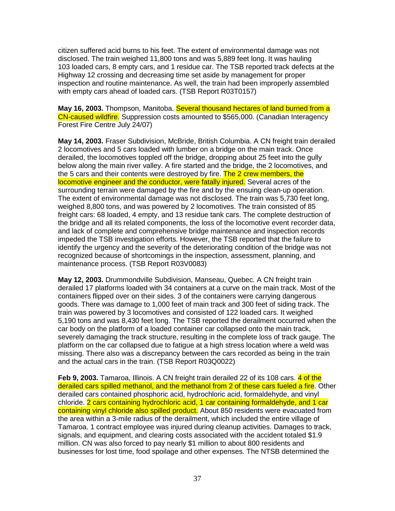citizen suffered acid burns to his feet. The extent of environmental damage was not disclosed. The train weighed 11,800 tons and was 5,889 feet long. It was hauling 103 loaded cars, 8 empty cars, and 1 residue car. The TSB reported track defects at the Highway 12 crossing and decreasing time set aside by management for proper inspection and routine maintenance. As well, the train had been improperly assembled with empty cars ahead of loaded cars. (TSB Report R03T0157)

**May 16, 2003.** Thompson, Manitoba. Several thousand hectares of land burned from a CN-caused wildfire. Suppression costs amounted to \$565,000. (Canadian Interagency Forest Fire Centre July 24/07)

**May 14, 2003.** Fraser Subdivision, McBride, British Columbia. A CN freight train derailed 2 locomotives and 5 cars loaded with lumber on a bridge on the main track. Once derailed, the locomotives toppled off the bridge, dropping about 25 feet into the gully below along the main river valley. A fire started and the bridge, the 2 locomotives, and the 5 cars and their contents were destroyed by fire. The 2 crew members, the locomotive engineer and the conductor, were fatally injured. Several acres of the surrounding terrain were damaged by the fire and by the ensuing clean-up operation. The extent of environmental damage was not disclosed. The train was 5,730 feet long, weighed 8,800 tons, and was powered by 2 locomotives. The train consisted of 85 freight cars: 68 loaded, 4 empty, and 13 residue tank cars. The complete destruction of the bridge and all its related components, the loss of the locomotive event recorder data, and lack of complete and comprehensive bridge maintenance and inspection records impeded the TSB investigation efforts. However, the TSB reported that the failure to identify the urgency and the severity of the deteriorating condition of the bridge was not recognized because of shortcomings in the inspection, assessment, planning, and maintenance process. (TSB Report R03V0083)

**May 12, 2003.** Drummondville Subdivision, Manseau, Quebec. A CN freight train derailed 17 platforms loaded with 34 containers at a curve on the main track. Most of the containers flipped over on their sides. 3 of the containers were carrying dangerous goods. There was damage to 1,000 feet of main track and 300 feet of siding track. The train was powered by 3 locomotives and consisted of 122 loaded cars. It weighed 5,190 tons and was 8,430 feet long. The TSB reported the derailment occurred when the car body on the platform of a loaded container car collapsed onto the main track, severely damaging the track structure, resulting in the complete loss of track gauge. The platform on the car collapsed due to fatigue at a high stress location where a weld was missing. There also was a discrepancy between the cars recorded as being in the train and the actual cars in the train. (TSB Report R03Q0022)

**Feb 9, 2003.** Tamaroa, Illinois. A CN freight train derailed 22 of its 108 cars. 4 of the derailed cars spilled methanol, and the methanol from 2 of these cars fueled a fire. Other derailed cars contained phosphoric acid, hydrochloric acid, formaldehyde, and vinyl chloride. 2 cars containing hydrochloric acid, 1 car containing formaldehyde, and 1 car containing vinyl chloride also spilled product. About 850 residents were evacuated from the area within a 3-mile radius of the derailment, which included the entire village of Tamaroa. 1 contract employee was injured during cleanup activities. Damages to track, signals, and equipment, and clearing costs associated with the accident totaled \$1.9 million. CN was also forced to pay nearly \$1 million to about 800 residents and businesses for lost time, food spoilage and other expenses. The NTSB determined the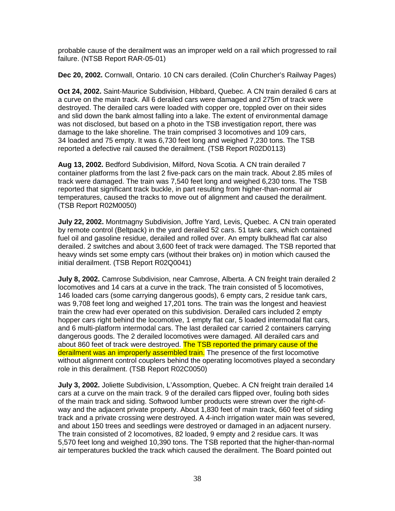probable cause of the derailment was an improper weld on a rail which progressed to rail failure. (NTSB Report RAR-05-01)

**Dec 20, 2002.** Cornwall, Ontario. 10 CN cars derailed. (Colin Churcher's Railway Pages)

**Oct 24, 2002.** Saint-Maurice Subdivision, Hibbard, Quebec. A CN train derailed 6 cars at a curve on the main track. All 6 derailed cars were damaged and 275m of track were destroyed. The derailed cars were loaded with copper ore, toppled over on their sides and slid down the bank almost falling into a lake. The extent of environmental damage was not disclosed, but based on a photo in the TSB investigation report, there was damage to the lake shoreline. The train comprised 3 locomotives and 109 cars, 34 loaded and 75 empty. It was 6,730 feet long and weighed 7,230 tons. The TSB reported a defective rail caused the derailment. (TSB Report R02D0113)

**Aug 13, 2002.** Bedford Subdivision, Milford, Nova Scotia. A CN train derailed 7 container platforms from the last 2 five-pack cars on the main track. About 2.85 miles of track were damaged. The train was 7,540 feet long and weighed 6,230 tons. The TSB reported that significant track buckle, in part resulting from higher-than-normal air temperatures, caused the tracks to move out of alignment and caused the derailment. (TSB Report R02M0050)

**July 22, 2002.** Montmagny Subdivision, Joffre Yard, Levis, Quebec. A CN train operated by remote control (Beltpack) in the yard derailed 52 cars. 51 tank cars, which contained fuel oil and gasoline residue, derailed and rolled over. An empty bulkhead flat car also derailed. 2 switches and about 3,600 feet of track were damaged. The TSB reported that heavy winds set some empty cars (without their brakes on) in motion which caused the initial derailment. (TSB Report R02Q0041)

**July 8, 2002.** Camrose Subdivision, near Camrose, Alberta. A CN freight train derailed 2 locomotives and 14 cars at a curve in the track. The train consisted of 5 locomotives, 146 loaded cars (some carrying dangerous goods), 6 empty cars, 2 residue tank cars, was 9,708 feet long and weighed 17,201 tons. The train was the longest and heaviest train the crew had ever operated on this subdivision. Derailed cars included 2 empty hopper cars right behind the locomotive, 1 empty flat car, 5 loaded intermodal flat cars, and 6 multi-platform intermodal cars. The last derailed car carried 2 containers carrying dangerous goods. The 2 derailed locomotives were damaged. All derailed cars and about 860 feet of track were destroyed. The TSB reported the primary cause of the derailment was an improperly assembled train. The presence of the first locomotive without alignment control couplers behind the operating locomotives played a secondary role in this derailment. (TSB Report R02C0050)

**July 3, 2002.** Joliette Subdivision, L'Assomption, Quebec. A CN freight train derailed 14 cars at a curve on the main track. 9 of the derailed cars flipped over, fouling both sides of the main track and siding. Softwood lumber products were strewn over the right-ofway and the adjacent private property. About 1,830 feet of main track, 660 feet of siding track and a private crossing were destroyed. A 4-inch irrigation water main was severed, and about 150 trees and seedlings were destroyed or damaged in an adjacent nursery. The train consisted of 2 locomotives, 82 loaded, 9 empty and 2 residue cars. It was 5,570 feet long and weighed 10,390 tons. The TSB reported that the higher-than-normal air temperatures buckled the track which caused the derailment. The Board pointed out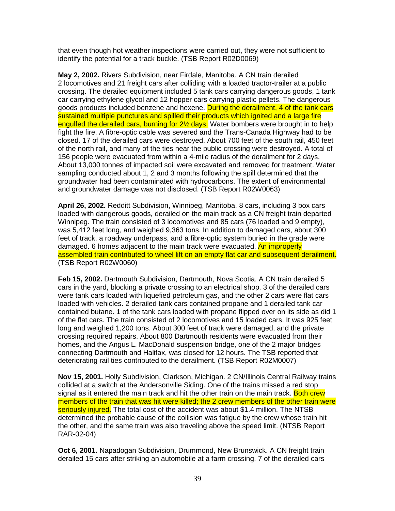that even though hot weather inspections were carried out, they were not sufficient to identify the potential for a track buckle. (TSB Report R02D0069)

**May 2, 2002.** Rivers Subdivision, near Firdale, Manitoba. A CN train derailed 2 locomotives and 21 freight cars after colliding with a loaded tractor-trailer at a public crossing. The derailed equipment included 5 tank cars carrying dangerous goods, 1 tank car carrying ethylene glycol and 12 hopper cars carrying plastic pellets. The dangerous goods products included benzene and hexene. During the derailment, 4 of the tank cars sustained multiple punctures and spilled their products which ignited and a large fire engulfed the derailed cars, burning for 2<sup>1/2</sup> days. Water bombers were brought in to help fight the fire. A fibre-optic cable was severed and the Trans-Canada Highway had to be closed. 17 of the derailed cars were destroyed. About 700 feet of the south rail, 450 feet of the north rail, and many of the ties near the public crossing were destroyed. A total of 156 people were evacuated from within a 4-mile radius of the derailment for 2 days. About 13,000 tonnes of impacted soil were excavated and removed for treatment. Water sampling conducted about 1, 2 and 3 months following the spill determined that the groundwater had been contaminated with hydrocarbons. The extent of environmental and groundwater damage was not disclosed. (TSB Report R02W0063)

**April 26, 2002.** Redditt Subdivision, Winnipeg, Manitoba. 8 cars, including 3 box cars loaded with dangerous goods, derailed on the main track as a CN freight train departed Winnipeg. The train consisted of 3 locomotives and 85 cars (76 loaded and 9 empty), was 5,412 feet long, and weighed 9,363 tons. In addition to damaged cars, about 300 feet of track, a roadway underpass, and a fibre-optic system buried in the grade were damaged. 6 homes adjacent to the main track were evacuated. An improperly assembled train contributed to wheel lift on an empty flat car and subsequent derailment. (TSB Report R02W0060)

**Feb 15, 2002.** Dartmouth Subdivision, Dartmouth, Nova Scotia. A CN train derailed 5 cars in the yard, blocking a private crossing to an electrical shop. 3 of the derailed cars were tank cars loaded with liquefied petroleum gas, and the other 2 cars were flat cars loaded with vehicles. 2 derailed tank cars contained propane and 1 derailed tank car contained butane. 1 of the tank cars loaded with propane flipped over on its side as did 1 of the flat cars. The train consisted of 2 locomotives and 15 loaded cars. It was 925 feet long and weighed 1,200 tons. About 300 feet of track were damaged, and the private crossing required repairs. About 800 Dartmouth residents were evacuated from their homes, and the Angus L. MacDonald suspension bridge, one of the 2 major bridges connecting Dartmouth and Halifax, was closed for 12 hours. The TSB reported that deteriorating rail ties contributed to the derailment. (TSB Report R02M0007)

**Nov 15, 2001.** Holly Subdivision, Clarkson, Michigan. 2 CN/Illinois Central Railway trains collided at a switch at the Andersonville Siding. One of the trains missed a red stop signal as it entered the main track and hit the other train on the main track. Both crew members of the train that was hit were killed; the 2 crew members of the other train were seriously injured. The total cost of the accident was about \$1.4 million. The NTSB determined the probable cause of the collision was fatigue by the crew whose train hit the other, and the same train was also traveling above the speed limit. (NTSB Report RAR-02-04)

**Oct 6, 2001.** Napadogan Subdivision, Drummond, New Brunswick. A CN freight train derailed 15 cars after striking an automobile at a farm crossing. 7 of the derailed cars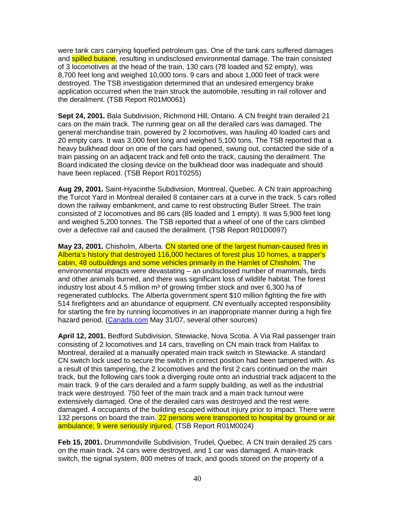were tank cars carrying liquefied petroleum gas. One of the tank cars suffered damages and **spilled butane**, resulting in undisclosed environmental damage. The train consisted of 3 locomotives at the head of the train, 130 cars (78 loaded and 52 empty), was 8,700 feet long and weighed 10,000 tons. 9 cars and about 1,000 feet of track were destroyed. The TSB investigation determined that an undesired emergency brake application occurred when the train struck the automobile, resulting in rail rollover and the derailment. (TSB Report R01M0061)

**Sept 24, 2001.** Bala Subdivision, Richmond Hill, Ontario. A CN freight train derailed 21 cars on the main track. The running gear on all the derailed cars was damaged. The general merchandise train, powered by 2 locomotives, was hauling 40 loaded cars and 20 empty cars. It was 3,000 feet long and weighed 5,100 tons. The TSB reported that a heavy bulkhead door on one of the cars had opened, swung out, contacted the side of a train passing on an adjacent track and fell onto the track, causing the derailment. The Board indicated the closing device on the bulkhead door was inadequate and should have been replaced. (TSB Report R01T0255)

**Aug 29, 2001.** Saint-Hyacinthe Subdivision, Montreal, Quebec. A CN train approaching the Turcot Yard in Montreal derailed 8 container cars at a curve in the track. 5 cars rolled down the railway embankment, and came to rest obstructing Butler Street. The train consisted of 2 locomotives and 86 cars (85 loaded and 1 empty). It was 5,900 feet long and weighed 5,200 tonnes. The TSB reported that a wheel of one of the cars climbed over a defective rail and caused the derailment. (TSB Report R01D0097)

**May 23, 2001.** Chisholm, Alberta. CN started one of the largest human-caused fires in Alberta's history that destroyed 116,000 hectares of forest plus 10 homes, a trapper's cabin, 48 outbuildings and some vehicles primarily in the Hamlet of Chisholm. The environmental impacts were devastating – an undisclosed number of mammals, birds and other animals burned, and there was significant loss of wildlife habitat. The forest industry lost about 4.5 million m<sup>3</sup> of growing timber stock and over 6,300 ha of regenerated cutblocks. The Alberta government spent \$10 million fighting the fire with 514 firefighters and an abundance of equipment. CN eventually accepted responsibility for starting the fire by running locomotives in an inappropriate manner during a high fire hazard period. (Canada.com May 31/07, several other sources)

**April 12, 2001.** Bedford Subdivision, Stewiacke, Nova Scotia. A Via Rail passenger train consisting of 2 locomotives and 14 cars, travelling on CN main track from Halifax to Montreal, derailed at a manually operated main track switch in Stewiacke. A standard CN switch lock used to secure the switch in correct position had been tampered with. As a result of this tampering, the 2 locomotives and the first 2 cars continued on the main track, but the following cars took a diverging route onto an industrial track adjacent to the main track. 9 of the cars derailed and a farm supply building, as well as the industrial track were destroyed. 750 feet of the main track and a main track turnout were extensively damaged. One of the derailed cars was destroyed and the rest were damaged. 4 occupants of the building escaped without injury prior to impact. There were 132 persons on board the train. 22 persons were transported to hospital by ground or air ambulance; 9 were seriously injured. (TSB Report R01M0024)

**Feb 15, 2001.** Drummondville Subdivision, Trudel, Quebec. A CN train derailed 25 cars on the main track. 24 cars were destroyed, and 1 car was damaged. A main-track switch, the signal system, 800 metres of track, and goods stored on the property of a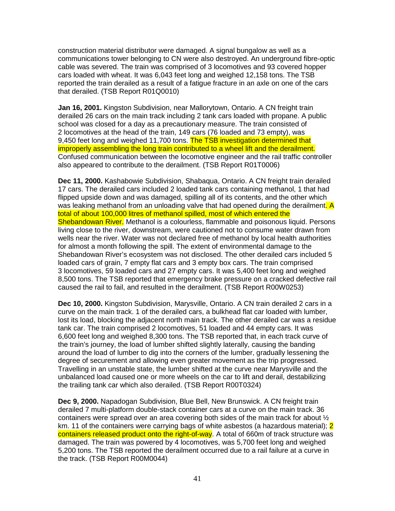construction material distributor were damaged. A signal bungalow as well as a communications tower belonging to CN were also destroyed. An underground fibre-optic cable was severed. The train was comprised of 3 locomotives and 93 covered hopper cars loaded with wheat. It was 6,043 feet long and weighed 12,158 tons. The TSB reported the train derailed as a result of a fatigue fracture in an axle on one of the cars that derailed. (TSB Report R01Q0010)

**Jan 16, 2001.** Kingston Subdivision, near Mallorytown, Ontario. A CN freight train derailed 26 cars on the main track including 2 tank cars loaded with propane. A public school was closed for a day as a precautionary measure. The train consisted of 2 locomotives at the head of the train, 149 cars (76 loaded and 73 empty), was 9,450 feet long and weighed 11,700 tons. The TSB investigation determined that improperly assembling the long train contributed to a wheel lift and the derailment. Confused communication between the locomotive engineer and the rail traffic controller also appeared to contribute to the derailment. (TSB Report R01T0006)

**Dec 11, 2000.** Kashabowie Subdivision, Shabaqua, Ontario. A CN freight train derailed 17 cars. The derailed cars included 2 loaded tank cars containing methanol, 1 that had flipped upside down and was damaged, spilling all of its contents, and the other which was leaking methanol from an unloading valve that had opened during the derailment. A total of about 100,000 litres of methanol spilled, most of which entered the Shebandowan River. Methanol is a colourless, flammable and poisonous liquid. Persons living close to the river, downstream, were cautioned not to consume water drawn from wells near the river. Water was not declared free of methanol by local health authorities for almost a month following the spill. The extent of environmental damage to the Shebandowan River's ecosystem was not disclosed. The other derailed cars included 5 loaded cars of grain, 7 empty flat cars and 3 empty box cars. The train comprised 3 locomotives, 59 loaded cars and 27 empty cars. It was 5,400 feet long and weighed 8,500 tons. The TSB reported that emergency brake pressure on a cracked defective rail caused the rail to fail, and resulted in the derailment. (TSB Report R00W0253)

**Dec 10, 2000.** Kingston Subdivision, Marysville, Ontario. A CN train derailed 2 cars in a curve on the main track. 1 of the derailed cars, a bulkhead flat car loaded with lumber, lost its load, blocking the adjacent north main track. The other derailed car was a residue tank car. The train comprised 2 locomotives, 51 loaded and 44 empty cars. It was 6,600 feet long and weighed 8,300 tons. The TSB reported that, in each track curve of the train's journey, the load of lumber shifted slightly laterally, causing the banding around the load of lumber to dig into the corners of the lumber, gradually lessening the degree of securement and allowing even greater movement as the trip progressed. Travelling in an unstable state, the lumber shifted at the curve near Marysville and the unbalanced load caused one or more wheels on the car to lift and derail, destabilizing the trailing tank car which also derailed. (TSB Report R00T0324)

**Dec 9, 2000.** Napadogan Subdivision, Blue Bell, New Brunswick. A CN freight train derailed 7 multi-platform double-stack container cars at a curve on the main track. 36 containers were spread over an area covering both sides of the main track for about  $\frac{1}{2}$ km. 11 of the containers were carrying bags of white asbestos (a hazardous material); 2 containers released product onto the right-of-way. A total of 660m of track structure was damaged. The train was powered by 4 locomotives, was 5,700 feet long and weighed 5,200 tons. The TSB reported the derailment occurred due to a rail failure at a curve in the track. (TSB Report R00M0044)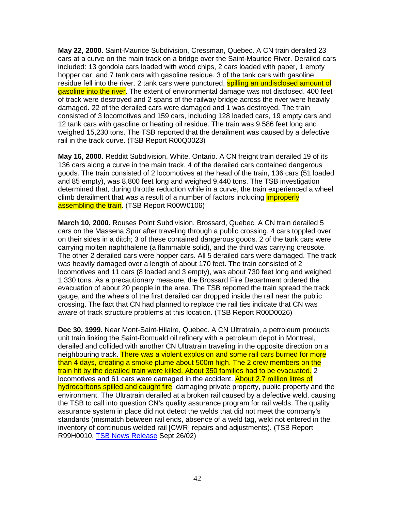**May 22, 2000.** Saint-Maurice Subdivision, Cressman, Quebec. A CN train derailed 23 cars at a curve on the main track on a bridge over the Saint-Maurice River. Derailed cars included: 13 gondola cars loaded with wood chips, 2 cars loaded with paper, 1 empty hopper car, and 7 tank cars with gasoline residue. 3 of the tank cars with gasoline residue fell into the river. 2 tank cars were punctured, **spilling an undisclosed amount of** gasoline into the river. The extent of environmental damage was not disclosed. 400 feet of track were destroyed and 2 spans of the railway bridge across the river were heavily damaged. 22 of the derailed cars were damaged and 1 was destroyed. The train consisted of 3 locomotives and 159 cars, including 128 loaded cars, 19 empty cars and 12 tank cars with gasoline or heating oil residue. The train was 9,586 feet long and weighed 15,230 tons. The TSB reported that the derailment was caused by a defective rail in the track curve. (TSB Report R00Q0023)

**May 16, 2000.** Redditt Subdivision, White, Ontario. A CN freight train derailed 19 of its 136 cars along a curve in the main track. 4 of the derailed cars contained dangerous goods. The train consisted of 2 locomotives at the head of the train, 136 cars (51 loaded and 85 empty), was 8,800 feet long and weighed 9,440 tons. The TSB investigation determined that, during throttle reduction while in a curve, the train experienced a wheel climb derailment that was a result of a number of factors including *improperly* assembling the train. (TSB Report R00W0106)

**March 10, 2000.** Rouses Point Subdivision, Brossard, Quebec. A CN train derailed 5 cars on the Massena Spur after traveling through a public crossing. 4 cars toppled over on their sides in a ditch; 3 of these contained dangerous goods. 2 of the tank cars were carrying molten naphthalene (a flammable solid), and the third was carrying creosote. The other 2 derailed cars were hopper cars. All 5 derailed cars were damaged. The track was heavily damaged over a length of about 170 feet. The train consisted of 2 locomotives and 11 cars (8 loaded and 3 empty), was about 730 feet long and weighed 1,330 tons. As a precautionary measure, the Brossard Fire Department ordered the evacuation of about 20 people in the area. The TSB reported the train spread the track gauge, and the wheels of the first derailed car dropped inside the rail near the public crossing. The fact that CN had planned to replace the rail ties indicate that CN was aware of track structure problems at this location. (TSB Report R00D0026)

**Dec 30, 1999.** Near Mont-Saint-Hilaire, Quebec. A CN Ultratrain, a petroleum products unit train linking the Saint-Romuald oil refinery with a petroleum depot in Montreal, derailed and collided with another CN Ultratrain traveling in the opposite direction on a neighbouring track. There was a violent explosion and some rail cars burned for more than 4 days, creating a smoke plume about 500m high. The 2 crew members on the train hit by the derailed train were killed. About 350 families had to be evacuated. 2 locomotives and 61 cars were damaged in the accident. About 2.7 million litres of hydrocarbons spilled and caught fire, damaging private property, public property and the environment. The Ultratrain derailed at a broken rail caused by a defective weld, causing the TSB to call into question CN's quality assurance program for rail welds. The quality assurance system in place did not detect the welds that did not meet the company's standards (mismatch between rail ends, absence of a weld tag, weld not entered in the inventory of continuous welded rail [CWR] repairs and adjustments). (TSB Report R99H0010, TSB News Release Sept 26/02)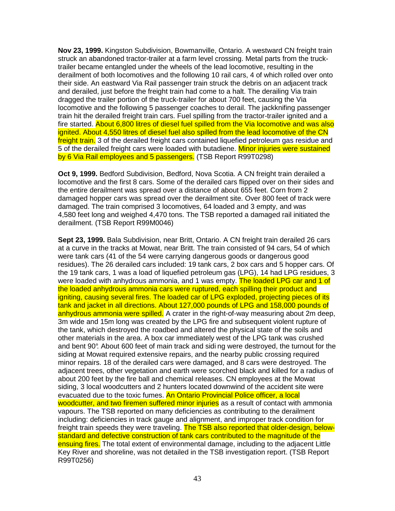**Nov 23, 1999.** Kingston Subdivision, Bowmanville, Ontario. A westward CN freight train struck an abandoned tractor-trailer at a farm level crossing. Metal parts from the trucktrailer became entangled under the wheels of the lead locomotive, resulting in the derailment of both locomotives and the following 10 rail cars, 4 of which rolled over onto their side. An eastward Via Rail passenger train struck the debris on an adjacent track and derailed, just before the freight train had come to a halt. The derailing Via train dragged the trailer portion of the truck-trailer for about 700 feet, causing the Via locomotive and the following 5 passenger coaches to derail. The jackknifing passenger train hit the derailed freight train cars. Fuel spilling from the tractor-trailer ignited and a fire started. About 6,800 litres of diesel fuel spilled from the Via locomotive and was also ignited. About 4,550 litres of diesel fuel also spilled from the lead locomotive of the CN freight train. 3 of the derailed freight cars contained liquefied petroleum gas residue and 5 of the derailed freight cars were loaded with butadiene. Minor injuries were sustained by 6 Via Rail employees and 5 passengers. (TSB Report R99T0298)

**Oct 9, 1999.** Bedford Subdivision, Bedford, Nova Scotia. A CN freight train derailed a locomotive and the first 8 cars. Some of the derailed cars flipped over on their sides and the entire derailment was spread over a distance of about 655 feet. Corn from 2 damaged hopper cars was spread over the derailment site. Over 800 feet of track were damaged. The train comprised 3 locomotives, 64 loaded and 3 empty, and was 4,580 feet long and weighed 4,470 tons. The TSB reported a damaged rail initiated the derailment. (TSB Report R99M0046)

**Sept 23, 1999.** Bala Subdivision, near Britt, Ontario. A CN freight train derailed 26 cars at a curve in the tracks at Mowat, near Britt. The train consisted of 94 cars, 54 of which were tank cars (41 of the 54 were carrying dangerous goods or dangerous good residues). The 26 derailed cars included: 19 tank cars, 2 box cars and 5 hopper cars. Of the 19 tank cars, 1 was a load of liquefied petroleum gas (LPG), 14 had LPG residues, 3 were loaded with anhydrous ammonia, and 1 was empty. The loaded LPG car and 1 of the loaded anhydrous ammonia cars were ruptured, each spilling their product and igniting, causing several fires. The loaded car of LPG exploded, projecting pieces of its tank and jacket in all directions. About 127,000 pounds of LPG and 158,000 pounds of anhydrous ammonia were spilled. A crater in the right-of-way measuring about 2m deep, 3m wide and 15m long was created by the LPG fire and subsequent violent rupture of the tank, which destroyed the roadbed and altered the physical state of the soils and other materials in the area. A box car immediately west of the LPG tank was crushed and bent 90°. About 600 feet of main track and sidi ng were destroyed, the turnout for the siding at Mowat required extensive repairs, and the nearby public crossing required minor repairs. 18 of the derailed cars were damaged, and 8 cars were destroyed. The adjacent trees, other vegetation and earth were scorched black and killed for a radius of about 200 feet by the fire ball and chemical releases. CN employees at the Mowat siding, 3 local woodcutters and 2 hunters located downwind of the accident site were evacuated due to the toxic fumes. An Ontario Provincial Police officer, a local woodcutter, and two firemen suffered minor injuries as a result of contact with ammonia vapours. The TSB reported on many deficiencies as contributing to the derailment including: deficiencies in track gauge and alignment, and improper track condition for freight train speeds they were traveling. The TSB also reported that older-design, belowstandard and defective construction of tank cars contributed to the magnitude of the ensuing fires. The total extent of environmental damage, including to the adjacent Little Key River and shoreline, was not detailed in the TSB investigation report. (TSB Report R99T0256)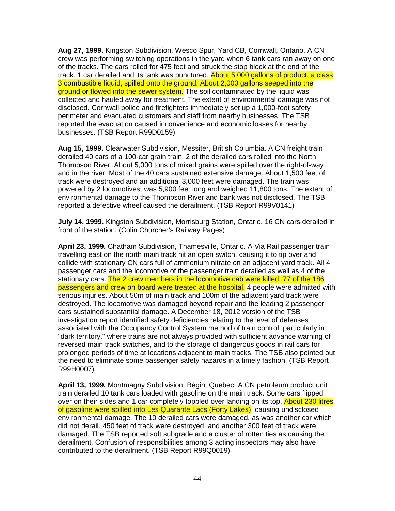**Aug 27, 1999.** Kingston Subdivision, Wesco Spur, Yard CB, Cornwall, Ontario. A CN crew was performing switching operations in the yard when 6 tank cars ran away on one of the tracks. The cars rolled for 475 feet and struck the stop block at the end of the track. 1 car derailed and its tank was punctured. About 5,000 gallons of product, a class 3 combustible liquid, spilled onto the ground. About 2,000 gallons seeped into the ground or flowed into the sewer system. The soil contaminated by the liquid was collected and hauled away for treatment. The extent of environmental damage was not disclosed. Cornwall police and firefighters immediately set up a 1,000-foot safety perimeter and evacuated customers and staff from nearby businesses. The TSB reported the evacuation caused inconvenience and economic losses for nearby businesses. (TSB Report R99D0159)

**Aug 15, 1999.** Clearwater Subdivision, Messiter, British Columbia. A CN freight train derailed 40 cars of a 100-car grain train. 2 of the derailed cars rolled into the North Thompson River. About 5,000 tons of mixed grains were spilled over the right-of-way and in the river. Most of the 40 cars sustained extensive damage. About 1,500 feet of track were destroyed and an additional 3,000 feet were damaged. The train was powered by 2 locomotives, was 5,900 feet long and weighed 11,800 tons. The extent of environmental damage to the Thompson River and bank was not disclosed. The TSB reported a defective wheel caused the derailment. (TSB Report R99V0141)

**July 14, 1999.** Kingston Subdivision, Morrisburg Station, Ontario. 16 CN cars derailed in front of the station. (Colin Churcher's Railway Pages)

**April 23, 1999.** Chatham Subdivision, Thamesville, Ontario. A Via Rail passenger train travelling east on the north main track hit an open switch, causing it to tip over and collide with stationary CN cars full of ammonium nitrate on an adjacent yard track. All 4 passenger cars and the locomotive of the passenger train derailed as well as 4 of the stationary cars. The 2 crew members in the locomotive cab were killed. 77 of the 186 passengers and crew on board were treated at the hospital. 4 people were admitted with serious injuries. About 50m of main track and 100m of the adjacent yard track were destroyed. The locomotive was damaged beyond repair and the leading 2 passenger cars sustained substantial damage. A December 18, 2012 version of the TSB investigation report identified safety deficiencies relating to the level of defenses associated with the Occupancy Control System method of train control, particularly in "dark territory," where trains are not always provided with sufficient advance warning of reversed main track switches, and to the storage of dangerous goods in rail cars for prolonged periods of time at locations adjacent to main tracks. The TSB also pointed out the need to eliminate some passenger safety hazards in a timely fashion. (TSB Report R99H0007)

**April 13, 1999.** Montmagny Subdivision, Bégin, Quebec. A CN petroleum product unit train derailed 10 tank cars loaded with gasoline on the main track. Some cars flipped over on their sides and 1 car completely toppled over landing on its top. About 230 litres of gasoline were spilled into Les Quarante Lacs (Forty Lakes), causing undisclosed environmental damage. The 10 derailed cars were damaged, as was another car which did not derail. 450 feet of track were destroyed, and another 300 feet of track were damaged. The TSB reported soft subgrade and a cluster of rotten ties as causing the derailment. Confusion of responsibilities among 3 acting inspectors may also have contributed to the derailment. (TSB Report R99Q0019)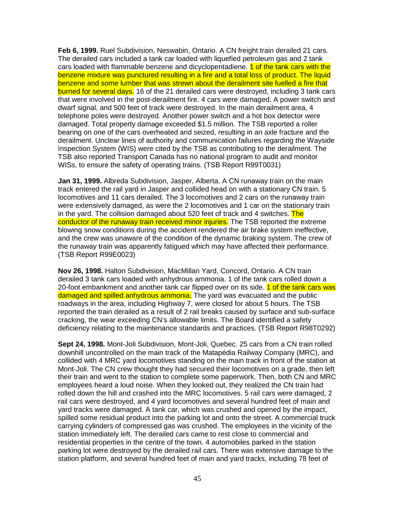**Feb 6, 1999.** Ruel Subdivision, Neswabin, Ontario. A CN freight train derailed 21 cars. The derailed cars included a tank car loaded with liquefied petroleum gas and 2 tank cars loaded with flammable benzene and dicyclopentadiene. 1 of the tank cars with the benzene mixture was punctured resulting in a fire and a total loss of product. The liquid benzene and some lumber that was strewn about the derailment site fuelled a fire that burned for several days. 16 of the 21 derailed cars were destroyed, including 3 tank cars that were involved in the post-derailment fire. 4 cars were damaged. A power switch and dwarf signal, and 500 feet of track were destroyed. In the main derailment area, 4 telephone poles were destroyed. Another power switch and a hot box detector were damaged. Total property damage exceeded \$1.5 million. The TSB reported a roller bearing on one of the cars overheated and seized, resulting in an axle fracture and the derailment. Unclear lines of authority and communication failures regarding the Wayside Inspection System (WIS) were cited by the TSB as contributing to the derailment. The TSB also reported Transport Canada has no national program to audit and monitor WISs, to ensure the safety of operating trains. (TSB Report R99T0031)

**Jan 31, 1999.** Albreda Subdivision, Jasper, Alberta. A CN runaway train on the main track entered the rail yard in Jasper and collided head on with a stationary CN train. 5 locomotives and 11 cars derailed. The 3 locomotives and 2 cars on the runaway train were extensively damaged, as were the 2 locomotives and 1 car on the stationary train in the yard. The collision damaged about 520 feet of track and 4 switches. The conductor of the runaway train received minor injuries. The TSB reported the extreme blowing snow conditions during the accident rendered the air brake system ineffective, and the crew was unaware of the condition of the dynamic braking system. The crew of the runaway train was apparently fatigued which may have affected their performance. (TSB Report R99E0023)

**Nov 26, 1998.** Halton Subdivision, MacMillan Yard, Concord, Ontario. A CN train derailed 3 tank cars loaded with anhydrous ammonia. 1 of the tank cars rolled down a 20-foot embankment and another tank car flipped over on its side. 1 of the tank cars was damaged and spilled anhydrous ammonia. The yard was evacuated and the public roadways in the area, including Highway 7, were closed for about 5 hours. The TSB reported the train derailed as a result of 2 rail breaks caused by surface and sub-surface cracking, the wear exceeding CN's allowable limits. The Board identified a safety deficiency relating to the maintenance standards and practices. (TSB Report R98T0292)

**Sept 24, 1998.** Mont-Joli Subdivision, Mont-Joli, Quebec. 25 cars from a CN train rolled downhill uncontrolled on the main track of the Matapédia Railway Company (MRC), and collided with 4 MRC yard locomotives standing on the main track in front of the station at Mont-Joli. The CN crew thought they had secured their locomotives on a grade, then left their train and went to the station to complete some paperwork. Then, both CN and MRC employees heard a loud noise. When they looked out, they realized the CN train had rolled down the hill and crashed into the MRC locomotives. 5 rail cars were damaged, 2 rail cars were destroyed, and 4 yard locomotives and several hundred feet of main and yard tracks were damaged. A tank car, which was crushed and opened by the impact, spilled some residual product into the parking lot and onto the street. A commercial truck carrying cylinders of compressed gas was crushed. The employees in the vicinity of the station immediately left. The derailed cars came to rest close to commercial and residential properties in the centre of the town. 4 automobiles parked in the station parking lot were destroyed by the derailed rail cars. There was extensive damage to the station platform, and several hundred feet of main and yard tracks, including 78 feet of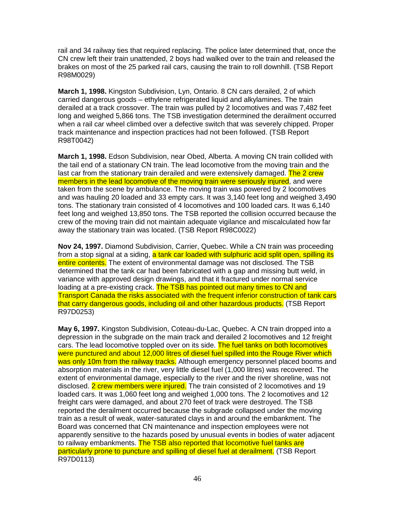rail and 34 railway ties that required replacing. The police later determined that, once the CN crew left their train unattended, 2 boys had walked over to the train and released the brakes on most of the 25 parked rail cars, causing the train to roll downhill. (TSB Report R98M0029)

**March 1, 1998.** Kingston Subdivision, Lyn, Ontario. 8 CN cars derailed, 2 of which carried dangerous goods – ethylene refrigerated liquid and alkylamines. The train derailed at a track crossover. The train was pulled by 2 locomotives and was 7,482 feet long and weighed 5,866 tons. The TSB investigation determined the derailment occurred when a rail car wheel climbed over a defective switch that was severely chipped. Proper track maintenance and inspection practices had not been followed. (TSB Report R98T0042)

**March 1, 1998.** Edson Subdivision, near Obed, Alberta. A moving CN train collided with the tail end of a stationary CN train. The lead locomotive from the moving train and the last car from the stationary train derailed and were extensively damaged. The 2 crew members in the lead locomotive of the moving train were seriously injured, and were taken from the scene by ambulance. The moving train was powered by 2 locomotives and was hauling 20 loaded and 33 empty cars. It was 3,140 feet long and weighed 3,490 tons. The stationary train consisted of 4 locomotives and 100 loaded cars. It was 6,140 feet long and weighed 13,850 tons. The TSB reported the collision occurred because the crew of the moving train did not maintain adequate vigilance and miscalculated how far away the stationary train was located. (TSB Report R98C0022)

**Nov 24, 1997.** Diamond Subdivision, Carrier, Quebec. While a CN train was proceeding from a stop signal at a siding, a tank car loaded with sulphuric acid split open, spilling its entire contents. The extent of environmental damage was not disclosed. The TSB determined that the tank car had been fabricated with a gap and missing butt weld, in variance with approved design drawings, and that it fractured under normal service loading at a pre-existing crack. The TSB has pointed out many times to CN and Transport Canada the risks associated with the frequent inferior construction of tank cars that carry dangerous goods, including oil and other hazardous products. (TSB Report R97D0253)

**May 6, 1997.** Kingston Subdivision, Coteau-du-Lac, Quebec. A CN train dropped into a depression in the subgrade on the main track and derailed 2 locomotives and 12 freight cars. The lead locomotive toppled over on its side. The fuel tanks on both locomotives were punctured and about 12,000 litres of diesel fuel spilled into the Rouge River which was only 10m from the railway tracks. Although emergency personnel placed booms and absorption materials in the river, very little diesel fuel (1,000 litres) was recovered. The extent of environmental damage, especially to the river and the river shoreline, was not disclosed. 2 crew members were injured. The train consisted of 2 locomotives and 19 loaded cars. It was 1,060 feet long and weighed 1,000 tons. The 2 locomotives and 12 freight cars were damaged, and about 270 feet of track were destroyed. The TSB reported the derailment occurred because the subgrade collapsed under the moving train as a result of weak, water-saturated clays in and around the embankment. The Board was concerned that CN maintenance and inspection employees were not apparently sensitive to the hazards posed by unusual events in bodies of water adjacent to railway embankments. The TSB also reported that locomotive fuel tanks are particularly prone to puncture and spilling of diesel fuel at derailment. (TSB Report R97D0113)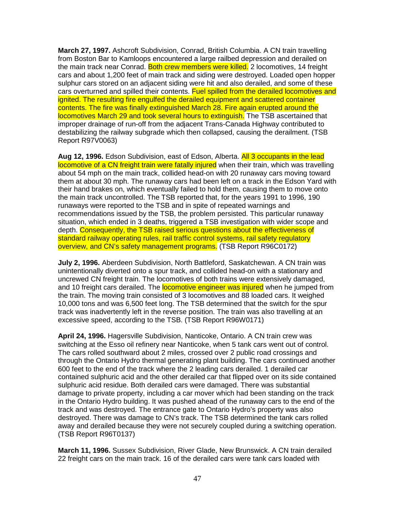**March 27, 1997.** Ashcroft Subdivision, Conrad, British Columbia. A CN train travelling from Boston Bar to Kamloops encountered a large railbed depression and derailed on the main track near Conrad. Both crew members were killed. 2 locomotives, 14 freight cars and about 1,200 feet of main track and siding were destroyed. Loaded open hopper sulphur cars stored on an adjacent siding were hit and also derailed, and some of these cars overturned and spilled their contents. Fuel spilled from the derailed locomotives and ignited. The resulting fire engulfed the derailed equipment and scattered container contents. The fire was finally extinguished March 28. Fire again erupted around the locomotives March 29 and took several hours to extinguish. The TSB ascertained that improper drainage of run-off from the adjacent Trans-Canada Highway contributed to destabilizing the railway subgrade which then collapsed, causing the derailment. (TSB Report R97V0063)

**Aug 12, 1996.** Edson Subdivision, east of Edson, Alberta. All 3 occupants in the lead locomotive of a CN freight train were fatally injured when their train, which was travelling about 54 mph on the main track, collided head-on with 20 runaway cars moving toward them at about 30 mph. The runaway cars had been left on a track in the Edson Yard with their hand brakes on, which eventually failed to hold them, causing them to move onto the main track uncontrolled. The TSB reported that, for the years 1991 to 1996, 190 runaways were reported to the TSB and in spite of repeated warnings and recommendations issued by the TSB, the problem persisted. This particular runaway situation, which ended in 3 deaths, triggered a TSB investigation with wider scope and depth. Consequently, the TSB raised serious questions about the effectiveness of standard railway operating rules, rail traffic control systems, rail safety regulatory overview, and CN's safety management programs. (TSB Report R96C0172)

**July 2, 1996.** Aberdeen Subdivision, North Battleford, Saskatchewan. A CN train was unintentionally diverted onto a spur track, and collided head-on with a stationary and uncrewed CN freight train. The locomotives of both trains were extensively damaged, and 10 freight cars derailed. The **locomotive engineer was injured** when he jumped from the train. The moving train consisted of 3 locomotives and 88 loaded cars. It weighed 10,000 tons and was 6,500 feet long. The TSB determined that the switch for the spur track was inadvertently left in the reverse position. The train was also travelling at an excessive speed, according to the TSB. (TSB Report R96W0171)

**April 24, 1996.** Hagersville Subdivision, Nanticoke, Ontario. A CN train crew was switching at the Esso oil refinery near Nanticoke, when 5 tank cars went out of control. The cars rolled southward about 2 miles, crossed over 2 public road crossings and through the Ontario Hydro thermal generating plant building. The cars continued another 600 feet to the end of the track where the 2 leading cars derailed. 1 derailed car contained sulphuric acid and the other derailed car that flipped over on its side contained sulphuric acid residue. Both derailed cars were damaged. There was substantial damage to private property, including a car mover which had been standing on the track in the Ontario Hydro building. It was pushed ahead of the runaway cars to the end of the track and was destroyed. The entrance gate to Ontario Hydro's property was also destroyed. There was damage to CN's track. The TSB determined the tank cars rolled away and derailed because they were not securely coupled during a switching operation. (TSB Report R96T0137)

**March 11, 1996.** Sussex Subdivision, River Glade, New Brunswick. A CN train derailed 22 freight cars on the main track. 16 of the derailed cars were tank cars loaded with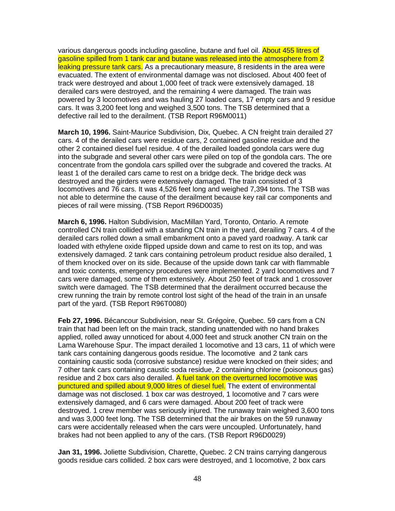various dangerous goods including gasoline, butane and fuel oil. About 455 litres of gasoline spilled from 1 tank car and butane was released into the atmosphere from 2 leaking pressure tank cars. As a precautionary measure, 8 residents in the area were evacuated. The extent of environmental damage was not disclosed. About 400 feet of track were destroyed and about 1,000 feet of track were extensively damaged. 18 derailed cars were destroyed, and the remaining 4 were damaged. The train was powered by 3 locomotives and was hauling 27 loaded cars, 17 empty cars and 9 residue cars. It was 3,200 feet long and weighed 3,500 tons. The TSB determined that a defective rail led to the derailment. (TSB Report R96M0011)

**March 10, 1996.** Saint-Maurice Subdivision, Dix, Quebec. A CN freight train derailed 27 cars. 4 of the derailed cars were residue cars, 2 contained gasoline residue and the other 2 contained diesel fuel residue. 4 of the derailed loaded gondola cars were dug into the subgrade and several other cars were piled on top of the gondola cars. The ore concentrate from the gondola cars spilled over the subgrade and covered the tracks. At least 1 of the derailed cars came to rest on a bridge deck. The bridge deck was destroyed and the girders were extensively damaged. The train consisted of 3 locomotives and 76 cars. It was 4,526 feet long and weighed 7,394 tons. The TSB was not able to determine the cause of the derailment because key rail car components and pieces of rail were missing. (TSB Report R96D0035)

**March 6, 1996.** Halton Subdivision, MacMillan Yard, Toronto, Ontario. A remote controlled CN train collided with a standing CN train in the yard, derailing 7 cars. 4 of the derailed cars rolled down a small embankment onto a paved yard roadway. A tank car loaded with ethylene oxide flipped upside down and came to rest on its top, and was extensively damaged. 2 tank cars containing petroleum product residue also derailed, 1 of them knocked over on its side. Because of the upside down tank car with flammable and toxic contents, emergency procedures were implemented. 2 yard locomotives and 7 cars were damaged, some of them extensively. About 250 feet of track and 1 crossover switch were damaged. The TSB determined that the derailment occurred because the crew running the train by remote control lost sight of the head of the train in an unsafe part of the yard. (TSB Report R96T0080)

**Feb 27, 1996.** Bécancour Subdivision, near St. Grégoire, Quebec. 59 cars from a CN train that had been left on the main track, standing unattended with no hand brakes applied, rolled away unnoticed for about 4,000 feet and struck another CN train on the Lama Warehouse Spur. The impact derailed 1 locomotive and 13 cars, 11 of which were tank cars containing dangerous goods residue. The locomotive and 2 tank cars containing caustic soda (corrosive substance) residue were knocked on their sides; and 7 other tank cars containing caustic soda residue, 2 containing chlorine (poisonous gas) residue and 2 box cars also derailed. A fuel tank on the overturned locomotive was punctured and spilled about 9,000 litres of diesel fuel. The extent of environmental damage was not disclosed. 1 box car was destroyed, 1 locomotive and 7 cars were extensively damaged, and 6 cars were damaged. About 200 feet of track were destroyed. 1 crew member was seriously injured. The runaway train weighed 3,600 tons and was 3,000 feet long. The TSB determined that the air brakes on the 59 runaway cars were accidentally released when the cars were uncoupled. Unfortunately, hand brakes had not been applied to any of the cars. (TSB Report R96D0029)

**Jan 31, 1996.** Joliette Subdivision, Charette, Quebec. 2 CN trains carrying dangerous goods residue cars collided. 2 box cars were destroyed, and 1 locomotive, 2 box cars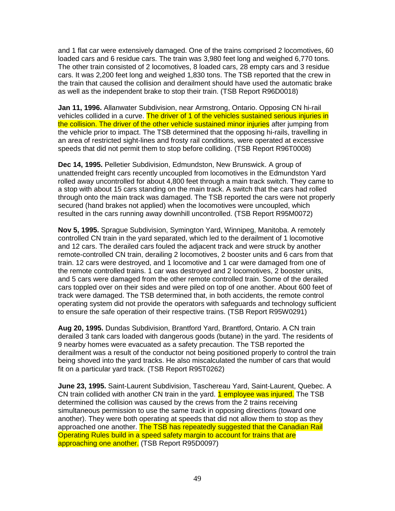and 1 flat car were extensively damaged. One of the trains comprised 2 locomotives, 60 loaded cars and 6 residue cars. The train was 3,980 feet long and weighed 6,770 tons. The other train consisted of 2 locomotives, 8 loaded cars, 28 empty cars and 3 residue cars. It was 2,200 feet long and weighed 1,830 tons. The TSB reported that the crew in the train that caused the collision and derailment should have used the automatic brake as well as the independent brake to stop their train. (TSB Report R96D0018)

**Jan 11, 1996.** Allanwater Subdivision, near Armstrong, Ontario. Opposing CN hi-rail vehicles collided in a curve. The driver of 1 of the vehicles sustained serious injuries in the collision. The driver of the other vehicle sustained minor injuries after jumping from the vehicle prior to impact. The TSB determined that the opposing hi-rails, travelling in an area of restricted sight-lines and frosty rail conditions, were operated at excessive speeds that did not permit them to stop before colliding. (TSB Report R96T0008)

**Dec 14, 1995.** Pelletier Subdivision, Edmundston, New Brunswick. A group of unattended freight cars recently uncoupled from locomotives in the Edmundston Yard rolled away uncontrolled for about 4,800 feet through a main track switch. They came to a stop with about 15 cars standing on the main track. A switch that the cars had rolled through onto the main track was damaged. The TSB reported the cars were not properly secured (hand brakes not applied) when the locomotives were uncoupled, which resulted in the cars running away downhill uncontrolled. (TSB Report R95M0072)

**Nov 5, 1995.** Sprague Subdivision, Symington Yard, Winnipeg, Manitoba. A remotely controlled CN train in the yard separated, which led to the derailment of 1 locomotive and 12 cars. The derailed cars fouled the adjacent track and were struck by another remote-controlled CN train, derailing 2 locomotives, 2 booster units and 6 cars from that train. 12 cars were destroyed, and 1 locomotive and 1 car were damaged from one of the remote controlled trains. 1 car was destroyed and 2 locomotives, 2 booster units, and 5 cars were damaged from the other remote controlled train. Some of the derailed cars toppled over on their sides and were piled on top of one another. About 600 feet of track were damaged. The TSB determined that, in both accidents, the remote control operating system did not provide the operators with safeguards and technology sufficient to ensure the safe operation of their respective trains. (TSB Report R95W0291)

**Aug 20, 1995.** Dundas Subdivision, Brantford Yard, Brantford, Ontario. A CN train derailed 3 tank cars loaded with dangerous goods (butane) in the yard. The residents of 9 nearby homes were evacuated as a safety precaution. The TSB reported the derailment was a result of the conductor not being positioned properly to control the train being shoved into the yard tracks. He also miscalculated the number of cars that would fit on a particular yard track. (TSB Report R95T0262)

**June 23, 1995.** Saint-Laurent Subdivision, Taschereau Yard, Saint-Laurent, Quebec. A CN train collided with another CN train in the yard. 1 employee was injured. The TSB determined the collision was caused by the crews from the 2 trains receiving simultaneous permission to use the same track in opposing directions (toward one another). They were both operating at speeds that did not allow them to stop as they approached one another. The TSB has repeatedly suggested that the Canadian Rail Operating Rules build in a speed safety margin to account for trains that are approaching one another. (TSB Report R95D0097)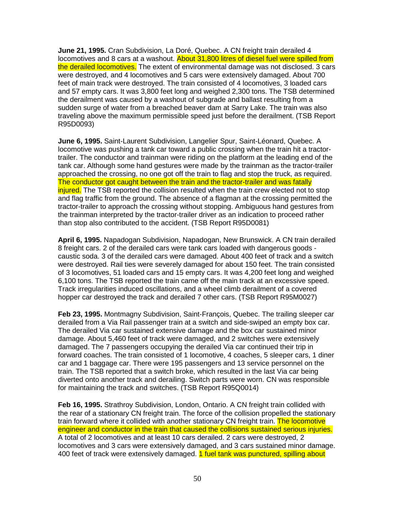**June 21, 1995.** Cran Subdivision, La Doré, Quebec. A CN freight train derailed 4 locomotives and 8 cars at a washout. About 31,800 litres of diesel fuel were spilled from the derailed locomotives. The extent of environmental damage was not disclosed. 3 cars were destroyed, and 4 locomotives and 5 cars were extensively damaged. About 700 feet of main track were destroyed. The train consisted of 4 locomotives, 3 loaded cars and 57 empty cars. It was 3,800 feet long and weighed 2,300 tons. The TSB determined the derailment was caused by a washout of subgrade and ballast resulting from a sudden surge of water from a breached beaver dam at Sarry Lake. The train was also traveling above the maximum permissible speed just before the derailment. (TSB Report R95D0093)

**June 6, 1995.** Saint-Laurent Subdivision, Langelier Spur, Saint-Léonard, Quebec. A locomotive was pushing a tank car toward a public crossing when the train hit a tractortrailer. The conductor and trainman were riding on the platform at the leading end of the tank car. Although some hand gestures were made by the trainman as the tractor-trailer approached the crossing, no one got off the train to flag and stop the truck, as required. The conductor got caught between the train and the tractor-trailer and was fatally injured. The TSB reported the collision resulted when the train crew elected not to stop and flag traffic from the ground. The absence of a flagman at the crossing permitted the tractor-trailer to approach the crossing without stopping. Ambiguous hand gestures from the trainman interpreted by the tractor-trailer driver as an indication to proceed rather than stop also contributed to the accident. (TSB Report R95D0081)

**April 6, 1995.** Napadogan Subdivision, Napadogan, New Brunswick. A CN train derailed 8 freight cars. 2 of the derailed cars were tank cars loaded with dangerous goods caustic soda. 3 of the derailed cars were damaged. About 400 feet of track and a switch were destroyed. Rail ties were severely damaged for about 150 feet. The train consisted of 3 locomotives, 51 loaded cars and 15 empty cars. It was 4,200 feet long and weighed 6,100 tons. The TSB reported the train came off the main track at an excessive speed. Track irregularities induced oscillations, and a wheel climb derailment of a covered hopper car destroyed the track and derailed 7 other cars. (TSB Report R95M0027)

**Feb 23, 1995.** Montmagny Subdivision, Saint-François, Quebec. The trailing sleeper car derailed from a Via Rail passenger train at a switch and side-swiped an empty box car. The derailed Via car sustained extensive damage and the box car sustained minor damage. About 5,460 feet of track were damaged, and 2 switches were extensively damaged. The 7 passengers occupying the derailed Via car continued their trip in forward coaches. The train consisted of 1 locomotive, 4 coaches, 5 sleeper cars, 1 diner car and 1 baggage car. There were 195 passengers and 13 service personnel on the train. The TSB reported that a switch broke, which resulted in the last Via car being diverted onto another track and derailing. Switch parts were worn. CN was responsible for maintaining the track and switches. (TSB Report R95Q0014)

**Feb 16, 1995.** Strathroy Subdivision, London, Ontario. A CN freight train collided with the rear of a stationary CN freight train. The force of the collision propelled the stationary train forward where it collided with another stationary CN freight train. The locomotive engineer and conductor in the train that caused the collisions sustained serious injuries. A total of 2 locomotives and at least 10 cars derailed. 2 cars were destroyed, 2 locomotives and 3 cars were extensively damaged, and 3 cars sustained minor damage. 400 feet of track were extensively damaged. 1 fuel tank was punctured, spilling about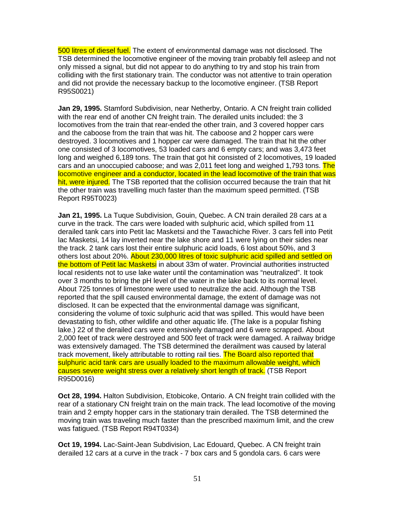500 litres of diesel fuel. The extent of environmental damage was not disclosed. The TSB determined the locomotive engineer of the moving train probably fell asleep and not only missed a signal, but did not appear to do anything to try and stop his train from colliding with the first stationary train. The conductor was not attentive to train operation and did not provide the necessary backup to the locomotive engineer. (TSB Report R95S0021)

**Jan 29, 1995.** Stamford Subdivision, near Netherby, Ontario. A CN freight train collided with the rear end of another CN freight train. The derailed units included: the 3 locomotives from the train that rear-ended the other train, and 3 covered hopper cars and the caboose from the train that was hit. The caboose and 2 hopper cars were destroyed. 3 locomotives and 1 hopper car were damaged. The train that hit the other one consisted of 3 locomotives, 53 loaded cars and 6 empty cars; and was 3,473 feet long and weighed 6,189 tons. The train that got hit consisted of 2 locomotives, 19 loaded cars and an unoccupied caboose; and was 2,011 feet long and weighed 1,793 tons. The locomotive engineer and a conductor, located in the lead locomotive of the train that was hit, were injured. The TSB reported that the collision occurred because the train that hit the other train was travelling much faster than the maximum speed permitted. (TSB Report R95T0023)

**Jan 21, 1995.** La Tuque Subdivision, Gouin, Quebec. A CN train derailed 28 cars at a curve in the track. The cars were loaded with sulphuric acid, which spilled from 11 derailed tank cars into Petit lac Masketsi and the Tawachiche River. 3 cars fell into Petit lac Masketsi, 14 lay inverted near the lake shore and 11 were lying on their sides near the track. 2 tank cars lost their entire sulphuric acid loads, 6 lost about 50%, and 3 others lost about 20%. About 230,000 litres of toxic sulphuric acid spilled and settled on the bottom of Petit lac Masketsi in about 33m of water. Provincial authorities instructed local residents not to use lake water until the contamination was "neutralized". It took over 3 months to bring the pH level of the water in the lake back to its normal level. About 725 tonnes of limestone were used to neutralize the acid. Although the TSB reported that the spill caused environmental damage, the extent of damage was not disclosed. It can be expected that the environmental damage was significant, considering the volume of toxic sulphuric acid that was spilled. This would have been devastating to fish, other wildlife and other aquatic life. (The lake is a popular fishing lake.) 22 of the derailed cars were extensively damaged and 6 were scrapped. About 2,000 feet of track were destroyed and 500 feet of track were damaged. A railway bridge was extensively damaged. The TSB determined the derailment was caused by lateral track movement, likely attributable to rotting rail ties. The Board also reported that sulphuric acid tank cars are usually loaded to the maximum allowable weight, which causes severe weight stress over a relatively short length of track. (TSB Report R95D0016)

**Oct 28, 1994.** Halton Subdivision, Etobicoke, Ontario. A CN freight train collided with the rear of a stationary CN freight train on the main track. The lead locomotive of the moving train and 2 empty hopper cars in the stationary train derailed. The TSB determined the moving train was traveling much faster than the prescribed maximum limit, and the crew was fatigued. (TSB Report R94T0334)

**Oct 19, 1994.** Lac-Saint-Jean Subdivision, Lac Edouard, Quebec. A CN freight train derailed 12 cars at a curve in the track - 7 box cars and 5 gondola cars. 6 cars were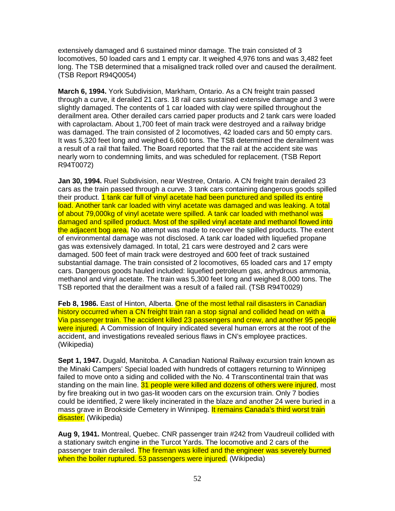extensively damaged and 6 sustained minor damage. The train consisted of 3 locomotives, 50 loaded cars and 1 empty car. It weighed 4,976 tons and was 3,482 feet long. The TSB determined that a misaligned track rolled over and caused the derailment. (TSB Report R94Q0054)

**March 6, 1994.** York Subdivision, Markham, Ontario. As a CN freight train passed through a curve, it derailed 21 cars. 18 rail cars sustained extensive damage and 3 were slightly damaged. The contents of 1 car loaded with clay were spilled throughout the derailment area. Other derailed cars carried paper products and 2 tank cars were loaded with caprolactam. About 1,700 feet of main track were destroyed and a railway bridge was damaged. The train consisted of 2 locomotives, 42 loaded cars and 50 empty cars. It was 5,320 feet long and weighed 6,600 tons. The TSB determined the derailment was a result of a rail that failed. The Board reported that the rail at the accident site was nearly worn to condemning limits, and was scheduled for replacement. (TSB Report R94T0072)

**Jan 30, 1994.** Ruel Subdivision, near Westree, Ontario. A CN freight train derailed 23 cars as the train passed through a curve. 3 tank cars containing dangerous goods spilled their product. 1 tank car full of vinyl acetate had been punctured and spilled its entire load. Another tank car loaded with vinyl acetate was damaged and was leaking. A total of about 79,000kg of vinyl acetate were spilled. A tank car loaded with methanol was damaged and spilled product. Most of the spilled vinyl acetate and methanol flowed into the adjacent bog area. No attempt was made to recover the spilled products. The extent of environmental damage was not disclosed. A tank car loaded with liquefied propane gas was extensively damaged. In total, 21 cars were destroyed and 2 cars were damaged. 500 feet of main track were destroyed and 600 feet of track sustained substantial damage. The train consisted of 2 locomotives, 65 loaded cars and 17 empty cars. Dangerous goods hauled included: liquefied petroleum gas, anhydrous ammonia, methanol and vinyl acetate. The train was 5,300 feet long and weighed 8,000 tons. The TSB reported that the derailment was a result of a failed rail. (TSB R94T0029)

**Feb 8, 1986.** East of Hinton, Alberta. One of the most lethal rail disasters in Canadian history occurred when a CN freight train ran a stop signal and collided head on with a Via passenger train. The accident killed 23 passengers and crew, and another 95 people were injured. A Commission of Inquiry indicated several human errors at the root of the accident, and investigations revealed serious flaws in CN's employee practices. (Wikipedia)

**Sept 1, 1947.** Dugald, Manitoba. A Canadian National Railway excursion train known as the Minaki Campers' Special loaded with hundreds of cottagers returning to Winnipeg failed to move onto a siding and collided with the No. 4 Transcontinental train that was standing on the main line. 31 people were killed and dozens of others were injured, most by fire breaking out in two gas-lit wooden cars on the excursion train. Only 7 bodies could be identified, 2 were likely incinerated in the blaze and another 24 were buried in a mass grave in Brookside Cemetery in Winnipeg. It remains Canada's third worst train disaster. (Wikipedia)

**Aug 9, 1941.** Montreal, Quebec. CNR passenger train #242 from Vaudreuil collided with a stationary switch engine in the Turcot Yards. The locomotive and 2 cars of the passenger train derailed. The fireman was killed and the engineer was severely burned when the boiler ruptured. 53 passengers were injured. (Wikipedia)